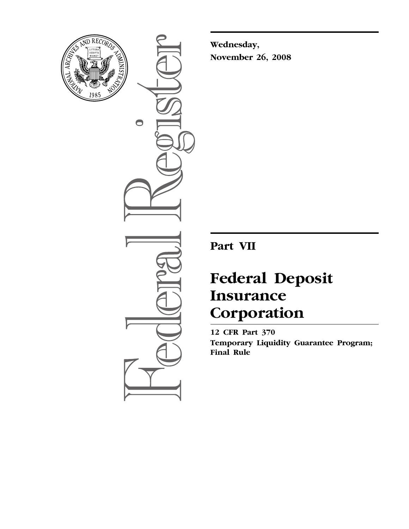

 $\bullet$ 

**Wednesday, November 26, 2008** 

**Part VII** 

# **Federal Deposit Insurance Corporation**

**12 CFR Part 370 Temporary Liquidity Guarantee Program; Final Rule**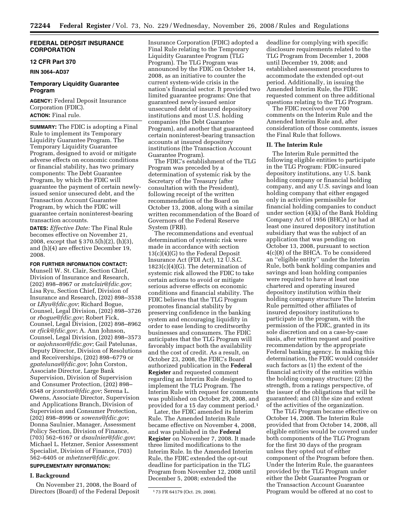# **FEDERAL DEPOSIT INSURANCE CORPORATION**

# **12 CFR Part 370**

**RIN 3064–AD37** 

# **Temporary Liquidity Guarantee Program**

**AGENCY:** Federal Deposit Insurance Corporation (FDIC). **ACTION:** Final rule.

**SUMMARY:** The FDIC is adopting a Final Rule to implement its Temporary Liquidity Guarantee Program. The Temporary Liquidity Guarantee Program, designed to avoid or mitigate adverse effects on economic conditions or financial stability, has two primary components: The Debt Guarantee Program, by which the FDIC will guarantee the payment of certain newlyissued senior unsecured debt, and the Transaction Account Guarantee Program, by which the FDIC will guarantee certain noninterest-bearing transaction accounts.

**DATES:** *Effective Date:* The Final Rule becomes effective on November 21, 2008, except that § 370.5(h)(2), (h)(3), and (h)(4) are effective December 19, 2008.

**FOR FURTHER INFORMATION CONTACT:**  Munsell W. St. Clair, Section Chief, Division of Insurance and Research, (202) 898–8967 or *[mstclair@fdic.gov](mailto:mstclair@fdic.gov)*; Lisa Ryu, Section Chief, Division of Insurance and Research, (202) 898–3538 or *[LRyu@fdic.gov](mailto:LRyu@fdic.gov)*; Richard Bogue, Counsel, Legal Division, (202) 898–3726 or *[rbogue@fdic.gov](mailto:rbogue@fdic.gov)*; Robert Fick, Counsel, Legal Division, (202) 898–8962 or *[rfick@fdic.gov](mailto:rfick@fdic.gov)*; A. Ann Johnson, Counsel, Legal Division, (202) 898–3573 or *[aajohnson@fdic.gov](mailto:aajohnson@fdic.gov)*; Gail Patelunas, Deputy Director, Division of Resolutions and Receiverships, (202) 898–6779 or *[gpatelunas@fdic.gov](mailto:gpatelunas@fdic.gov)*; John Corston, Associate Director, Large Bank Supervision, Division of Supervision and Consumer Protection, (202) 898– 6548 or *[jcorston@fdic.gov](mailto:jcorston@fdic.gov)*; Serena L. Owens, Associate Director, Supervision and Applications Branch, Division of Supervision and Consumer Protection, (202) 898–8996 or *[sowens@fdic.gov](mailto:sowens@fdic.gov)*; Donna Saulnier, Manager, Assessment Policy Section, Division of Finance, (703) 562–6167 or *[dsaulnier@fdic.gov](mailto:dsaulnier@fdic.gov)*; Michael L. Hetzner, Senior Assessment Specialist, Division of Finance, (703) 562–6405 or *[mhetzner@fdic.gov.](mailto:mhetzner@fdic.gov)* 

# **SUPPLEMENTARY INFORMATION:**

## **I. Background**

On November 21, 2008, the Board of Directors (Board) of the Federal Deposit

Insurance Corporation (FDIC) adopted a Final Rule relating to the Temporary Liquidity Guarantee Program (TLG Program). The TLG Program was announced by the FDIC on October 14, 2008, as an initiative to counter the current system-wide crisis in the nation's financial sector. It provided two limited guarantee programs: One that guaranteed newly-issued senior unsecured debt of insured depository institutions and most U.S. holding companies (the Debt Guarantee Program), and another that guaranteed certain noninterest-bearing transaction accounts at insured depository institutions (the Transaction Account Guarantee Program).

The FDIC's establishment of the TLG Program was preceded by a determination of systemic risk by the Secretary of the Treasury (after consultation with the President), following receipt of the written recommendation of the Board on October 13, 2008, along with a similar written recommendation of the Board of Governors of the Federal Reserve System (FRB).

The recommendations and eventual determination of systemic risk were made in accordance with section 13(c)(4)(G) to the Federal Deposit Insurance Act (FDI Act), 12 U.S.C. 1823(c)(4)(G). The determination of systemic risk allowed the FDIC to take certain actions to avoid or mitigate serious adverse effects on economic conditions and financial stability. The FDIC believes that the TLG Program promotes financial stability by preserving confidence in the banking system and encouraging liquidity in order to ease lending to creditworthy businesses and consumers. The FDIC anticipates that the TLG Program will favorably impact both the availability and the cost of credit. As a result, on October 23, 2008, the FDIC's Board authorized publication in the **Federal Register** and requested comment regarding an Interim Rule designed to implement the TLG Program. The Interim Rule with request for comments was published on October 29, 2008, and provided for a 15 day comment period.1

Later, the FDIC amended its Interim Rule. The Amended Interim Rule became effective on November 4, 2008, and was published in the **Federal Register** on November 7, 2008. It made three limited modifications to the Interim Rule. In the Amended Interim Rule, the FDIC extended the opt-out deadline for participation in the TLG Program from November 12, 2008 until December 5, 2008; extended the

deadline for complying with specific disclosure requirements related to the TLG Program from December 1, 2008 until December 19, 2008; and established assessment procedures to accommodate the extended opt-out period. Additionally, in issuing the Amended Interim Rule, the FDIC requested comment on three additional questions relating to the TLG Program.

The FDIC received over 700 comments on the Interim Rule and the Amended Interim Rule and, after consideration of those comments, issues the Final Rule that follows.

#### **II. The Interim Rule**

The Interim Rule permitted the following eligible entities to participate in the TLG Program: FDIC-insured depository institutions, any U.S. bank holding company or financial holding company, and any U.S. savings and loan holding company that either engaged only in activities permissible for financial holding companies to conduct under section (4)(k) of the Bank Holding Company Act of 1956 (BHCA) or had at least one insured depository institution subsidiary that was the subject of an application that was pending on October 13, 2008, pursuant to section 4(c)(8) of the BHCA. To be considered an ''eligible entity'' under the Interim Rule, both bank holding companies and savings and loan holding companies were required to have at least one chartered and operating insured depository institution within their holding company structure The Interim Rule permitted other affiliates of insured depository institutions to participate in the program, with the permission of the FDIC, granted in its sole discretion and on a case-by-case basis, after written request and positive recommendation by the appropriate Federal banking agency. In making this determination, the FDIC would consider such factors as (1) the extent of the financial activity of the entities within the holding company structure; (2) the strength, from a ratings perspective, of the issuer of the obligations that will be guaranteed; and (3) the size and extent of the activities of the organization.

The TLG Program became effective on October 14, 2008. The Interim Rule provided that from October 14, 2008, all eligible entities would be covered under both components of the TLG Program for the first 30 days of the program unless they opted out of either component of the Program before then. Under the Interim Rule, the guarantees provided by the TLG Program under either the Debt Guarantee Program or the Transaction Account Guarantee Program would be offered at no cost to

<sup>1</sup> 73 FR 64179 (Oct. 29, 2008).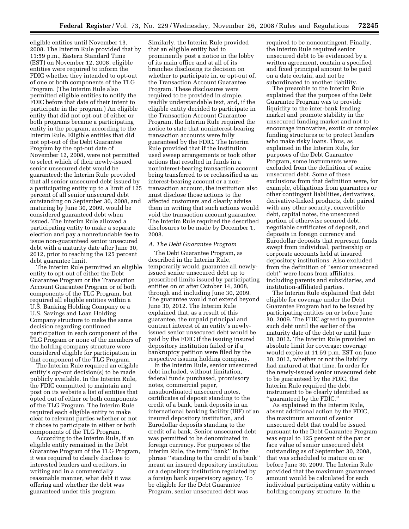eligible entities until November 13, 2008. The Interim Rule provided that by 11:59 p.m., Eastern Standard Time (EST) on November 12, 2008, eligible entities were required to inform the FDIC whether they intended to opt-out of one or both components of the TLG Program. (The Interim Rule also permitted eligible entities to notify the FDIC before that date of their intent to participate in the program.) An eligible entity that did not opt-out of either or both programs became a participating entity in the program, according to the Interim Rule. Eligible entities that did not opt-out of the Debt Guarantee Program by the opt-out date of November 12, 2008, were not permitted to select which of their newly-issued senior unsecured debt would be guaranteed; the Interim Rule provided that all senior unsecured debt issued by a participating entity up to a limit of 125 percent of all senior unsecured debt outstanding on September 30, 2008, and maturing by June 30, 2009, would be considered guaranteed debt when issued. The Interim Rule allowed a participating entity to make a separate election and pay a nonrefundable fee to issue non-guaranteed senior unsecured debt with a maturity date after June 30, 2012, prior to reaching the 125 percent debt guarantee limit.

The Interim Rule permitted an eligible entity to opt-out of either the Debt Guarantee Program or the Transaction Account Guarantee Program or of both components of the TLG Program, but required all eligible entities within a U.S. Banking Holding Company or a U.S. Savings and Loan Holding Company structure to make the same decision regarding continued participation in each component of the TLG Program or none of the members of the holding company structure were considered eligible for participation in that component of the TLG Program.

The Interim Rule required an eligible entity's opt-out decision(s) to be made publicly available. In the Interim Rule, the FDIC committed to maintain and post on its website a list of entities that opted out of either or both components of the TLG Program. The Interim Rule required each eligible entity to make clear to relevant parties whether or not it chose to participate in either or both components of the TLG Program.

According to the Interim Rule, if an eligible entity remained in the Debt Guarantee Program of the TLG Program, it was required to clearly disclose to interested lenders and creditors, in writing and in a commercially reasonable manner, what debt it was offering and whether the debt was guaranteed under this program.

Similarly, the Interim Rule provided that an eligible entity had to prominently post a notice in the lobby of its main office and at all of its branches disclosing its decision on whether to participate in, or opt-out of, the Transaction Account Guarantee Program. These disclosures were required to be provided in simple, readily understandable text, and, if the eligible entity decided to participate in the Transaction Account Guarantee Program, the Interim Rule required the notice to state that noninterest-bearing transaction accounts were fully guaranteed by the FDIC. The Interim Rule provided that if the institution used sweep arrangements or took other actions that resulted in funds in a noninterest-bearing transaction account being transferred to or reclassified as an interest-bearing account or a nontransaction account, the institution also must disclose those actions to the affected customers and clearly advise them in writing that such actions would void the transaction account guarantee. The Interim Rule required the described disclosures to be made by December 1, 2008.

## *A. The Debt Guarantee Program*

The Debt Guarantee Program, as described in the Interim Rule, temporarily would guarantee all newlyissued senior unsecured debt up to prescribed limits issued by participating entities on or after October 14, 2008, through and including June 30, 2009. The guarantee would not extend beyond June 30, 2012. The Interim Rule explained that, as a result of this guarantee, the unpaid principal and contract interest of an entity's newlyissued senior unsecured debt would be paid by the FDIC if the issuing insured depository institution failed or if a bankruptcy petition were filed by the respective issuing holding company.

In the Interim Rule, senior unsecured debt included, without limitation, federal funds purchased, promissory notes, commercial paper, unsubordinated unsecured notes, certificates of deposit standing to the credit of a bank, bank deposits in an international banking facility (IBF) of an insured depository institution, and Eurodollar deposits standing to the credit of a bank. Senior unsecured debt was permitted to be denominated in foreign currency. For purposes of the Interim Rule, the term ''bank'' in the phrase ''standing to the credit of a bank'' meant an insured depository institution or a depository institution regulated by a foreign bank supervisory agency. To be eligible for the Debt Guarantee Program, senior unsecured debt was

required to be noncontingent. Finally, the Interim Rule required senior unsecured debt to be evidenced by a written agreement, contain a specified and fixed principal amount to be paid on a date certain, and not be subordinated to another liability.

The preamble to the Interim Rule explained that the purpose of the Debt Guarantee Program was to provide liquidity to the inter-bank lending market and promote stability in the unsecured funding market and not to encourage innovative, exotic or complex funding structures or to protect lenders who make risky loans. Thus, as explained in the Interim Rule, for purposes of the Debt Guarantee Program, some instruments were excluded from the definition of senior unsecured debt. Some of these exclusions from that definition were, for example, obligations from guarantees or other contingent liabilities, derivatives, derivative-linked products, debt paired with any other security, convertible debt, capital notes, the unsecured portion of otherwise secured debt, negotiable certificates of deposit, and deposits in foreign currency and Eurodollar deposits that represent funds swept from individual, partnership or corporate accounts held at insured depository institutions. Also excluded from the definition of ''senior unsecured debt'' were loans from affiliates, including parents and subsidiaries, and institution-affiliated parties.

The Interim Rule explained that debt eligible for coverage under the Debt Guarantee Program had to be issued by participating entities on or before June 30, 2009. The FDIC agreed to guarantee such debt until the earlier of the maturity date of the debt or until June 30, 2012. The Interim Rule provided an absolute limit for coverage: coverage would expire at 11:59 p.m. EST on June 30, 2012, whether or not the liability had matured at that time. In order for the newly-issued senior unsecured debt to be guaranteed by the FDIC, the Interim Rule required the debt instrument to be clearly identified as ''guaranteed by the FDIC.''

As explained in the Interim Rule, absent additional action by the FDIC, the maximum amount of senior unsecured debt that could be issued pursuant to the Debt Guarantee Program was equal to 125 percent of the par or face value of senior unsecured debt outstanding as of September 30, 2008, that was scheduled to mature on or before June 30, 2009. The Interim Rule provided that the maximum guaranteed amount would be calculated for each individual participating entity within a holding company structure. In the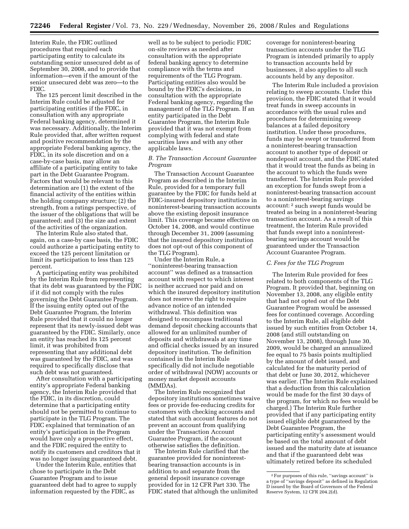Interim Rule, the FDIC outlined procedures that required each participating entity to calculate its outstanding senior unsecured debt as of September 30, 2008, and to provide that information—even if the amount of the senior unsecured debt was zero—to the FDIC.

The 125 percent limit described in the Interim Rule could be adjusted for participating entities if the FDIC, in consultation with any appropriate Federal banking agency, determined it was necessary. Additionally, the Interim Rule provided that, after written request and positive recommendation by the appropriate Federal banking agency, the FDIC, in its sole discretion and on a case-by-case basis, may allow an affiliate of a participating entity to take part in the Debt Guarantee Program. Factors that would be relevant to this determination are (1) the extent of the financial activity of the entities within the holding company structure; (2) the strength, from a ratings perspective, of the issuer of the obligations that will be guaranteed; and (3) the size and extent of the activities of the organization.

The Interim Rule also stated that, again, on a case-by case basis, the FDIC could authorize a participating entity to exceed the 125 percent limitation or limit its participation to less than 125 percent.

A participating entity was prohibited by the Interim Rule from representing that its debt was guaranteed by the FDIC if it did not comply with the rules governing the Debt Guarantee Program. If the issuing entity opted out of the Debt Guarantee Program, the Interim Rule provided that it could no longer represent that its newly-issued debt was guaranteed by the FDIC. Similarly, once an entity has reached its 125 percent limit, it was prohibited from representing that any additional debt was guaranteed by the FDIC, and was required to specifically disclose that such debt was not guaranteed.

After consultation with a participating entity's appropriate Federal banking agency, the Interim Rule provided that the FDIC, in its discretion, could determine that a participating entity should not be permitted to continue to participate in the TLG Program. The FDIC explained that termination of an entity's participation in the Program would have only a prospective effect, and the FDIC required the entity to notify its customers and creditors that it was no longer issuing guaranteed debt.

Under the Interim Rule, entities that chose to participate in the Debt Guarantee Program and to issue guaranteed debt had to agree to supply information requested by the FDIC, as

well as to be subject to periodic FDIC on-site reviews as needed after consultation with the appropriate federal banking agency to determine compliance with the terms and requirements of the TLG Program. Participating entities also would be bound by the FDIC's decisions, in consultation with the appropriate Federal banking agency, regarding the management of the TLG Program. If an entity participated in the Debt Guarantee Program, the Interim Rule provided that it was not exempt from complying with federal and state securities laws and with any other applicable laws.

# *B. The Transaction Account Guarantee Program*

The Transaction Account Guarantee Program as described in the Interim Rule, provided for a temporary full guarantee by the FDIC for funds held at FDIC-insured depository institutions in noninterest-bearing transaction accounts above the existing deposit insurance limit. This coverage became effective on October 14, 2008, and would continue through December 31, 2009 (assuming that the insured depository institution does not opt-out of this component of the TLG Program).

Under the Interim Rule, a ''noninterest-bearing transaction account'' was defined as a transaction account with respect to which interest is neither accrued nor paid and on which the insured depository institution does not reserve the right to require advance notice of an intended withdrawal. This definition was designed to encompass traditional demand deposit checking accounts that allowed for an unlimited number of deposits and withdrawals at any time and official checks issued by an insured depository institution. The definition contained in the Interim Rule specifically did not include negotiable order of withdrawal (NOW) accounts or money market deposit accounts (MMDAs).

The Interim Rule recognized that depository institutions sometimes waive fees or provide fee-reducing credits for customers with checking accounts and stated that such account features do not prevent an account from qualifying under the Transaction Account Guarantee Program, if the account otherwise satisfies the definition.

The Interim Rule clarified that the guarantee provided for noninterestbearing transaction accounts is in addition to and separate from the general deposit insurance coverage provided for in 12 CFR Part 330. The FDIC stated that although the unlimited coverage for noninterest-bearing transaction accounts under the TLG Program is intended primarily to apply to transaction accounts held by businesses, it also applies to all such accounts held by any depositor.

The Interim Rule included a provision relating to sweep accounts. Under this provision, the FDIC stated that it would treat funds in sweep accounts in accordance with the usual rules and procedures for determining sweep balances at a failed depository institution. Under these procedures, funds may be swept or transferred from a noninterest-bearing transaction account to another type of deposit or nondeposit account, and the FDIC stated that it would treat the funds as being in the account to which the funds were transferred. The Interim Rule provided an exception for funds swept from a noninterest-bearing transaction account to a noninterest-bearing savings account: 2 such swept funds would be treated as being in a noninterest-bearing transaction account. As a result of this treatment, the Interim Rule provided that funds swept into a noninterestbearing savings account would be guaranteed under the Transaction Account Guarantee Program.

# *C. Fees for the TLG Program*

The Interim Rule provided for fees related to both components of the TLG Program. It provided that, beginning on November 13, 2008, any eligible entity that had not opted out of the Debt Guarantee Program would be assessed fees for continued coverage. According to the Interim Rule, all eligible debt issued by such entities from October 14, 2008 (and still outstanding on November 13, 2008), through June 30, 2009, would be charged an annualized fee equal to 75 basis points multiplied by the amount of debt issued, and calculated for the maturity period of that debt or June 30, 2012, whichever was earlier. (The Interim Rule explained that a deduction from this calculation would be made for the first 30 days of the program, for which no fees would be charged.) The Interim Rule further provided that if any participating entity issued eligible debt guaranteed by the Debt Guarantee Program, the participating entity's assessment would be based on the total amount of debt issued and the maturity date at issuance and that if the guaranteed debt was ultimately retired before its scheduled

<sup>2</sup>For purposes of this rule, ''savings account'' is a type of ''savings deposit'' as defined in Regulation D issued by the Board of Governors of the Federal Reserve System, 12 CFR 204.2(d).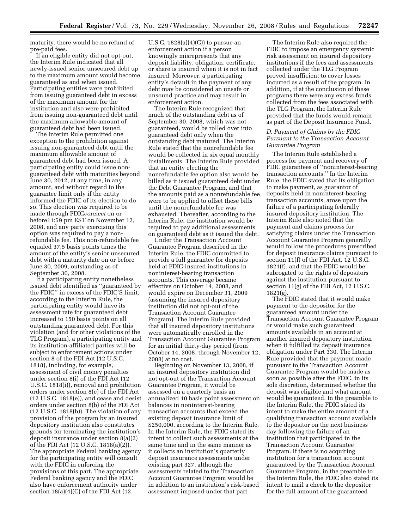maturity, there would be no refund of pre-paid fees.

If an eligible entity did not opt-out, the Interim Rule indicated that all newly-issued senior unsecured debt up to the maximum amount would become guaranteed as and when issued. Participating entities were prohibited from issuing guaranteed debt in excess of the maximum amount for the institution and also were prohibited from issuing non-guaranteed debt until the maximum allowable amount of guaranteed debt had been issued.

The Interim Rule permitted one exception to the prohibition against issuing non-guaranteed debt until the maximum allowable amount of guaranteed debt had been issued. A participating entity could issue nonguaranteed debt with maturities beyond June 30, 2012, at any time, in any amount, and without regard to the guarantee limit only if the entity informed the FDIC of its election to do so. This election was required to be made through FDIC*connect* on or before11:59 pm EST on November 12, 2008, and any party exercising this option was required to pay a nonrefundable fee. This non-refundable fee equaled 37.5 basis points times the amount of the entity's senior unsecured debt with a maturity date on or before June 30, 2009, outstanding as of September 30, 2008.

If a participating entity nonetheless issued debt identified as ''guaranteed by the FDIC'' in excess of the FDIC'S limit, according to the Interim Rule, the participating entity would have its assessment rate for guaranteed debt increased to 150 basis points on all outstanding guaranteed debt. For this violation (and for other violations of the TLG Program), a participating entity and its institution-affiliated parties will be subject to enforcement actions under section 8 of the FDI Act (12 U.S.C. 1818), including, for example, assessment of civil money penalties under section 8(i) of the FDI Act (12 U.S.C. 1818(i)), removal and prohibition orders under section 8(e) of the FDI Act  $(12 \text{ U.S.C. } 1818(e))$ , and cease and desist orders under section 8(b) of the FDI Act (12 U.S.C. 1818(b)). The violation of any provision of the program by an insured depository institution also constitutes grounds for terminating the institution's deposit insurance under section 8(a)(2) of the FDI Act (12 U.S.C. 1818(a)(2)). The appropriate Federal banking agency for the participating entity will consult with the FDIC in enforcing the provisions of this part. The appropriate Federal banking agency and the FDIC also have enforcement authority under section  $18(a)(4)(C)$  of the FDI Act (12

U.S.C.  $1828(a)(4)(C)$  to pursue an enforcement action if a person knowingly misrepresents that any deposit liability, obligation, certificate, or share is insured when it is not in fact insured. Moreover, a participating entity's default in the payment of any debt may be considered an unsafe or unsound practice and may result in enforcement action.

The Interim Rule recognized that much of the outstanding debt as of September 30, 2008, which was not guaranteed, would be rolled over into guaranteed debt only when the outstanding debt matured. The Interim Rule stated that the nonrefundable fee would be collected in six equal monthly installments. The Interim Rule provided that an entity electing the nonrefundable fee option also would be billed as it issued guaranteed debt under the Debt Guarantee Program, and that the amounts paid as a nonrefundable fee were to be applied to offset these bills until the nonrefundable fee was exhausted. Thereafter, according to the Interim Rule, the institution would be required to pay additional assessments on guaranteed debt as it issued the debt.

Under the Transaction Account Guarantee Program described in the Interim Rule, the FDIC committed to provide a full guarantee for deposits held at FDIC-insured institutions in noninterest-bearing transaction accounts. This coverage became effective on October 14, 2008, and would expire on December 31, 2009 (assuming the insured depository institution did not opt-out of the Transaction Account Guarantee Program). The Interim Rule provided that all insured depository institutions were automatically enrolled in the Transaction Account Guarantee Program for an initial thirty-day period (from October 14, 2008, through November 12, 2008) at no cost.

Beginning on November 13, 2008, if an insured depository institution did not opt-out of the Transaction Account Guarantee Program, it would be assessed on a quarterly basis an annualized 10 basis point assessment on balances in noninterest-bearing transaction accounts that exceed the existing deposit insurance limit of \$250,000, according to the Interim Rule. In the Interim Rule, the FDIC stated its intent to collect such assessments at the same time and in the same manner as it collects an institution's quarterly deposit insurance assessments under existing part 327, although the assessments related to the Transaction Account Guarantee Program would be in addition to an institution's risk-based assessment imposed under that part.

The Interim Rule also required the FDIC to impose an emergency systemic risk assessment on insured depository institutions if the fees and assessments collected under the TLG Program proved insufficient to cover losses incurred as a result of the program. In addition, if at the conclusion of these programs there were any excess funds collected from the fees associated with the TLG Program, the Interim Rule provided that the funds would remain as part of the Deposit Insurance Fund.

# *D. Payment of Claims by the FDIC Pursuant to the Transaction Account Guarantee Program*

The Interim Rule established a process for payment and recovery of FDIC guarantees of ''noninterest-bearing transaction accounts.'' In the Interim Rule, the FDIC stated that its obligation to make payment, as guarantor of deposits held in noninterest-bearing transaction accounts, arose upon the failure of a participating federally insured depository institution. The Interim Rule also noted that the payment and claims process for satisfying claims under the Transaction Account Guarantee Program generally would follow the procedures prescribed for deposit insurance claims pursuant to section 11(f) of the FDI Act, 12 U.S.C. 1821(f), and that the FDIC would be subrogated to the rights of depositors against the institution pursuant to section 11(g) of the FDI Act, 12 U.S.C. 1821(g).

The FDIC stated that it would make payment to the depositor for the guaranteed amount under the Transaction Account Guarantee Program or would make such guaranteed amounts available in an account at another insured depository institution when it fulfilled its deposit insurance obligation under Part 330. The Interim Rule provided that the payment made pursuant to the Transaction Account Guarantee Program would be made as soon as possible after the FDIC, in its sole discretion, determined whether the deposit was eligible and what amount would be guaranteed. In the preamble to the Interim Rule, the FDIC stated its intent to make the entire amount of a qualifying transaction account available to the depositor on the next business day following the failure of an institution that participated in the Transaction Account Guarantee Program. If there is no acquiring institution for a transaction account guaranteed by the Transaction Account Guarantee Program, in the preamble to the Interim Rule, the FDIC also stated its intent to mail a check to the depositor for the full amount of the guaranteed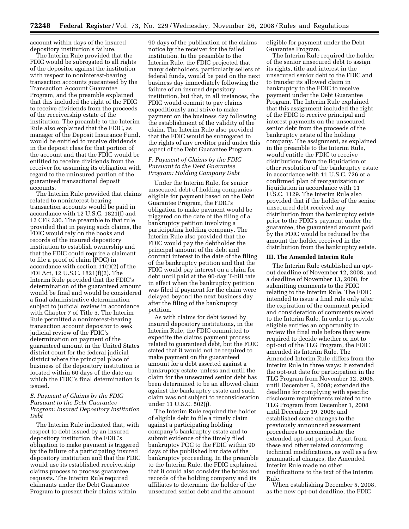account within days of the insured depository institution's failure.

The Interim Rule provided that the FDIC would be subrogated to all rights of the depositor against the institution with respect to noninterest-bearing transaction accounts guaranteed by the Transaction Account Guarantee Program, and the preamble explained that this included the right of the FDIC to receive dividends from the proceeds of the receivership estate of the institution. The preamble to the Interim Rule also explained that the FDIC, as manager of the Deposit Insurance Fund, would be entitled to receive dividends in the deposit class for that portion of the account and that the FDIC would be entitled to receive dividends from the receiver for assuming its obligation with regard to the uninsured portion of the guaranteed transactional deposit accounts.

The Interim Rule provided that claims related to noninterest-bearing transaction accounts would be paid in accordance with 12 U.S.C. 1821(f) and 12 CFR 330. The preamble to that rule provided that in paying such claims, the FDIC would rely on the books and records of the insured depository institution to establish ownership and that the FDIC could require a claimant to file a proof of claim (POC) in accordance with section 11(f)(2) of the FDI Act, 12 U.S.C. 1821(f)(2). The Interim Rule provided that the FDIC's determination of the guaranteed amount would be final and would be considered a final administrative determination subject to judicial review in accordance with Chapter 7 of Title 5. The Interim Rule permitted a noninterest-bearing transaction account depositor to seek judicial review of the FDIC's determination on payment of the guaranteed amount in the United States district court for the federal judicial district where the principal place of business of the depository institution is located within 60 days of the date on which the FDIC's final determination is issued.

# *E. Payment of Claims by the FDIC Pursuant to the Debt Guarantee Program: Insured Depository Institution Debt*

The Interim Rule indicated that, with respect to debt issued by an insured depository institution, the FDIC's obligation to make payment is triggered by the failure of a participating insured depository institution and that the FDIC would use its established receivership claims process to process guarantee requests. The Interim Rule required claimants under the Debt Guarantee Program to present their claims within

90 days of the publication of the claims notice by the receiver for the failed institution. In the preamble to the Interim Rule, the FDIC projected that many debtholders, particularly sellers of federal funds, would be paid on the next business day immediately following the failure of an insured depository institution, but that, in all instances, the FDIC would commit to pay claims expeditiously and strive to make payment on the business day following the establishment of the validity of the claim. The Interim Rule also provided that the FDIC would be subrogated to the rights of any creditor paid under this aspect of the Debt Guarantee Program.

## *F. Payment of Claims by the FDIC Pursuant to the Debt Guarantee Program: Holding Company Debt*

Under the Interim Rule, for senior unsecured debt of holding companies eligible for payment based on the Debt Guarantee Program, the FDIC's obligation to make payment would be triggered on the date of the filing of a bankruptcy petition involving a participating holding company. The Interim Rule also provided that the FDIC would pay the debtholder the principal amount of the debt and contract interest to the date of the filing of the bankruptcy petition and that the FDIC would pay interest on a claim for debt until paid at the 90-day T-bill rate in effect when the bankruptcy petition was filed if payment for the claim were delayed beyond the next business day after the filing of the bankruptcy petition.

As with claims for debt issued by insured depository institutions, in the Interim Rule, the FDIC committed to expedite the claims payment process related to guaranteed debt, but the FDIC stated that it would not be required to make payment on the guaranteed amount for a debt asserted against a bankruptcy estate, unless and until the claim for the unsecured senior debt has been determined to be an allowed claim against the bankruptcy estate and such claim was not subject to reconsideration under 11 U.S.C. 502(j).

The Interim Rule required the holder of eligible debt to file a timely claim against a participating holding company's bankruptcy estate and to submit evidence of the timely filed bankruptcy POC to the FDIC within 90 days of the published bar date of the bankruptcy proceeding. In the preamble to the Interim Rule, the FDIC explained that it could also consider the books and records of the holding company and its affiliates to determine the holder of the unsecured senior debt and the amount

eligible for payment under the Debt Guarantee Program.

The Interim Rule required the holder of the senior unsecured debt to assign its rights, title and interest in the unsecured senior debt to the FDIC and to transfer its allowed claim in bankruptcy to the FDIC to receive payment under the Debt Guarantee Program. The Interim Rule explained that this assignment included the right of the FDIC to receive principal and interest payments on the unsecured senior debt from the proceeds of the bankruptcy estate of the holding company. The assignment, as explained in the preamble to the Interim Rule, would entitle the FDIC to receive distributions from the liquidation or other resolution of the bankruptcy estate in accordance with 11 U.S.C. 726 or a confirmed plan of reorganization or liquidation in accordance with 11 U.S.C. 1129. The Interim Rule also provided that if the holder of the senior unsecured debt received any distribution from the bankruptcy estate prior to the FDIC's payment under the guarantee, the guaranteed amount paid by the FDIC would be reduced by the amount the holder received in the distribution from the bankruptcy estate.

#### **III. The Amended Interim Rule**

The Interim Rule established an optout deadline of November 12, 2008, and a deadline of November 13, 2008, for submitting comments to the FDIC relating to the Interim Rule. The FDIC intended to issue a final rule only after the expiration of the comment period and consideration of comments related to the Interim Rule. In order to provide eligible entities an opportunity to review the final rule before they were required to decide whether or not to opt-out of the TLG Program, the FDIC amended its Interim Rule. The Amended Interim Rule differs from the Interim Rule in three ways: It extended the opt-out date for participation in the TLG Program from November 12, 2008, until December 5, 2008; extended the deadline for complying with specific disclosure requirements related to the TLG Program from December 1, 2008 until December 19, 2008; and established some changes to the previously announced assessment procedures to accommodate the extended opt-out period. Apart from these and other related conforming technical modifications, as well as a few grammatical changes, the Amended Interim Rule made no other modifications to the text of the Interim Rule.

When establishing December 5, 2008, as the new opt-out deadline, the FDIC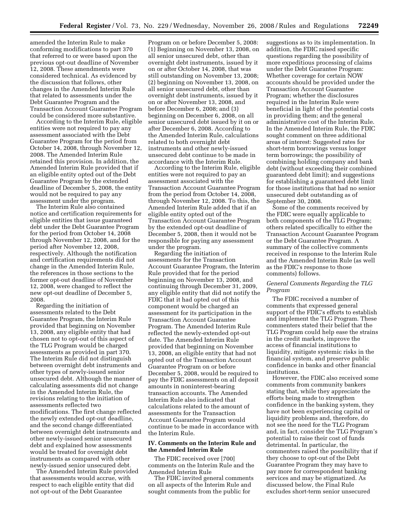amended the Interim Rule to make conforming modifications to part 370 that referred to or were based upon the previous opt-out deadline of November 12, 2008. These amendments were considered technical. As evidenced by the discussion that follows, other changes in the Amended Interim Rule that related to assessments under the Debt Guarantee Program and the Transaction Account Guarantee Program could be considered more substantive.

According to the Interim Rule, eligible entities were not required to pay any assessment associated with the Debt Guarantee Program for the period from October 14, 2008, through November 12, 2008. The Amended Interim Rule retained this provision. In addition, the Amended Interim Rule provided that if an eligible entity opted out of the Debt Guarantee Program by the extended deadline of December 5, 2008, the entity would not be required to pay any assessment under the program.

The Interim Rule also contained notice and certification requirements for eligible entities that issue guaranteed debt under the Debt Guarantee Program for the period from October 14, 2008 through November 12, 2008, and for the period after November 12, 2008, respectively. Although the notification and certification requirements did not change in the Amended Interim Rule, the references in those sections to the former opt-out deadline of November 12, 2008, were changed to reflect the new opt-out deadline of December 5, 2008.

Regarding the initiation of assessments related to the Debt Guarantee Program, the Interim Rule provided that beginning on November 13, 2008, any eligible entity that had chosen not to opt-out of this aspect of the TLG Program would be charged assessments as provided in part 370. The Interim Rule did not distinguish between overnight debt instruments and other types of newly-issued senior unsecured debt. Although the manner of calculating assessments did not change in the Amended Interim Rule, the revisions relating to the initiation of assessments reflected two modifications. The first change reflected the newly extended opt-out deadline, and the second change differentiated between overnight debt instruments and other newly-issued senior unsecured debt and explained how assessments would be treated for overnight debt instruments as compared with other newly-issued senior unsecured debt.

The Amended Interim Rule provided that assessments would accrue, with respect to each eligible entity that did not opt-out of the Debt Guarantee

Program on or before December 5, 2008: (1) Beginning on November 13, 2008, on all senior unsecured debt, other than overnight debt instruments, issued by it on or after October 14, 2008, that was still outstanding on November 13, 2008; (2) beginning on November 13, 2008, on all senior unsecured debt, other than overnight debt instruments, issued by it on or after November 13, 2008, and before December 6, 2008; and (3) beginning on December 6, 2008, on all senior unsecured debt issued by it on or after December 6, 2008. According to the Amended Interim Rule, calculations related to both overnight debt instruments and other newly-issued unsecured debt continue to be made in accordance with the Interim Rule.

According to the Interim Rule, eligible entities were not required to pay an assessment associated with the Transaction Account Guarantee Program from the period from October 14, 2008, through November 12, 2008. To this, the Amended Interim Rule added that if an eligible entity opted out of the Transaction Account Guarantee Program by the extended opt-out deadline of December 5, 2008, then it would not be responsible for paying any assessment under the program.

Regarding the initiation of assessments for the Transaction Account Guarantee Program, the Interim Rule provided that for the period beginning on November 13, 2008, and continuing through December 31, 2009, any eligible entity that did not notify the FDIC that it had opted out of this component would be charged an assessment for its participation in the Transaction Account Guarantee Program. The Amended Interim Rule reflected the newly-extended opt-out date. The Amended Interim Rule provided that beginning on November 13, 2008, an eligible entity that had not opted out of the Transaction Account Guarantee Program on or before December 5, 2008, would be required to pay the FDIC assessments on all deposit amounts in noninterest-bearing transaction accounts. The Amended Interim Rule also indicated that calculations related to the amount of assessments for the Transaction Account Guarantee Program would continue to be made in accordance with the Interim Rule.

#### **IV. Comments on the Interim Rule and the Amended Interim Rule**

The FDIC received over [700] comments on the Interim Rule and the Amended Interim Rule

The FDIC invited general comments on all aspects of the Interim Rule and sought comments from the public for

suggestions as to its implementation. In addition, the FDIC raised specific questions regarding the possibility of more expeditious processing of claims under the Debt Guarantee Program: Whether coverage for certain NOW accounts should be provided under the Transaction Account Guarantee Program; whether the disclosures required in the Interim Rule were beneficial in light of the potential costs in providing them; and the general administrative cost of the Interim Rule. In the Amended Interim Rule, the FDIC sought comment on three additional areas of interest: Suggested rates for short-term borrowings versus longer term borrowings; the possibility of combining holding company and bank debt (without exceeding their combined guaranteed debt limit); and suggestions for establishing a guaranteed debt limit for those institutions that had no senior unsecured debt outstanding as of September 30, 2008.

Some of the comments received by the FDIC were equally applicable to both components of the TLG Program; others related specifically to either the Transaction Account Guarantee Program or the Debt Guarantee Program. A summary of the collective comments received in response to the Interim Rule and the Amended Interim Rule (as well as the FDIC's response to those comments) follows.

# *General Comments Regarding the TLG Program*

The FDIC received a number of comments that expressed general support of the FDIC's efforts to establish and implement the TLG Program. These commenters stated their belief that the TLG Program could help ease the strains in the credit markets, improve the access of financial institutions to liquidity, mitigate systemic risks in the financial system, and preserve public confidence in banks and other financial institutions.

However, the FDIC also received some comments from community bankers stating that, while they appreciate the efforts being made to strengthen confidence in the banking system, they have not been experiencing capital or liquidity problems and, therefore, do not see the need for the TLG Program and, in fact, consider the TLG Program's potential to raise their cost of funds detrimental. In particular, the commenters raised the possibility that if they choose to opt-out of the Debt Guarantee Program they may have to pay more for correspondent banking services and may be stigmatized. As discussed below, the Final Rule excludes short-term senior unsecured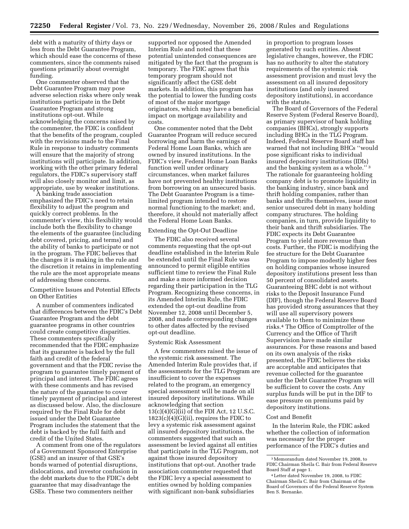debt with a maturity of thirty days or less from the Debt Guarantee Program, which should ease the concerns of these commenters, since the comments raised questions primarily about overnight funding.

One commenter observed that the Debt Guarantee Program may pose adverse selection risks where only weak institutions participate in the Debt Guarantee Program and strong institutions opt-out. While acknowledging the concerns raised by the commenter, the FDIC is confident that the benefits of the program, coupled with the revisions made to the Final Rule in response to industry comments will ensure that the majority of strong institutions will participate. In addition, working with the other primary federal regulators, the FDIC's supervisory staff will also closely monitor and limit, as appropriate, use by weaker institutions.

A banking trade association emphasized the FDIC's need to retain flexibility to adjust the program and quickly correct problems. In the commenter's view, this flexibility would include both the flexibility to change the elements of the guarantee (including debt covered, pricing, and terms) and the ability of banks to participate or not in the program. The FDIC believes that the changes it is making in the rule and the discretion it retains in implementing the rule are the most appropriate means of addressing these concerns.

# Competitive Issues and Potential Effects on Other Entities

A number of commenters indicated that differences between the FDIC's Debt Guarantee Program and the debt guarantee programs in other countries could create competitive disparities. These commenters specifically recommended that the FDIC emphasize that its guarantee is backed by the full faith and credit of the federal government and that the FDIC revise the program to guarantee timely payment of principal and interest. The FDIC agrees with these comments and has revised the nature of the guarantee to cover timely payment of principal and interest as discussed below. Also, the disclosure required by the Final Rule for debt issued under the Debt Guarantee Program includes the statement that the debt is backed by the full faith and credit of the United States.

A comment from one of the regulators of a Government Sponsored Enterprise (GSE) and an insurer of that GSE's bonds warned of potential disruptions, dislocations, and investor confusion in the debt markets due to the FDIC's debt guarantee that may disadvantage the GSEs. These two commenters neither

supported nor opposed the Amended Interim Rule and noted that these potential unintended consequences are mitigated by the fact that the program is temporary. The FDIC agrees that this temporary program should not significantly affect the GSE debt markets. In addition, this program has the potential to lower the funding costs of most of the major mortgage originators, which may have a beneficial impact on mortgage availability and costs.

One commenter noted that the Debt Guarantee Program will reduce secured borrowing and harm the earnings of Federal Home Loan Banks, which are owned by insured institutions. In the FDIC's view, Federal Home Loan Banks function well under ordinary circumstances, when market failures have not prevented healthy institutions from borrowing on an unsecured basis. The Debt Guarantee Program is a timelimited program intended to restore normal functioning to the market; and, therefore, it should not materially affect the Federal Home Loan Banks.

# Extending the Opt-Out Deadline

The FDIC also received several comments requesting that the opt-out deadline established in the Interim Rule be extended until the Final Rule was announced to permit eligible entities sufficient time to review the Final Rule and make a more informed decision regarding their participation in the TLG Program. Recognizing these concerns, in its Amended Interim Rule, the FDIC extended the opt-out deadline from November 12, 2008 until December 5, 2008, and made corresponding changes to other dates affected by the revised opt-out deadline.

#### Systemic Risk Assessment

A few commenters raised the issue of the systemic risk assessment. The Amended Interim Rule provides that, if the assessments for the TLG Program are insufficient to cover the expenses related to the program, an emergency special assessment will be made on all insured depository institutions. While acknowledging that section  $13(c)(4)(G)(ii)$  of the FDI Act, 12 U.S.C. 1823(c)(4)(G)(ii), requires the FDIC to levy a systemic risk assessment against all insured depository institutions, the commenters suggested that such an assessment be levied against all entities that participate in the TLG Program, not against those insured depository institutions that opt-out. Another trade association commenter requested that the FDIC levy a special assessment to entities owned by holding companies with significant non-bank subsidiaries

in proportion to program losses generated by such entities. Absent legislative changes, however, the FDIC has no authority to alter the statutory requirements of the systemic risk assessment provision and must levy the assessment on all insured depository institutions (and only insured depository institutions), in accordance with the statute.

The Board of Governors of the Federal Reserve System (Federal Reserve Board), as primary supervisor of bank holding companies (BHCs), strongly supports including BHCs in the TLG Program. Indeed, Federal Reserve Board staff has warned that not including BHCs ''would pose significant risks to individual insured depository institutions (IDIs) and the banking system as a whole.'' 3 The rationale for guaranteeing holding company debt is to promote liquidity in the banking industry, since bank and thrift holding companies, rather than banks and thrifts themselves, issue most senior unsecured debt in many holding company structures. The holding companies, in turn, provide liquidity to their bank and thrift subsidiaries. The FDIC expects its Debt Guarantee Program to yield more revenue than costs. Further, the FDIC is modifying the fee structure for the Debt Guarantee Program to impose modestly higher fees on holding companies whose insured depository institutions present less than 50 percent of consolidated assets. Guaranteeing BHC debt is not without risks to the Deposit Insurance Fund (DIF), though the Federal Reserve Board has provided strong assurances that they will use all supervisory powers available to them to minimize these risks.4 The Office of Comptroller of the Currency and the Office of Thrift Supervision have made similar assurances. For these reasons and based on its own analysis of the risks presented, the FDIC believes the risks are acceptable and anticipates that revenue collected for the guarantee under the Debt Guarantee Program will be sufficient to cover the costs. Any surplus funds will be put in the DIF to ease pressure on premiums paid by depository institutions.

# Cost and Benefit

In the Interim Rule, the FDIC asked whether the collection of information was necessary for the proper performance of the FDIC's duties and

<sup>3</sup>Memorandum dated November 19, 2008, to FDIC Chairman Sheila C. Bair from Federal Reserve Board Staff at page 1.

<sup>4</sup>Letter dated November 19, 2008, to FDIC Chairman Sheila C. Bair from Chairman of the Board of Governors of the Federal Reserve System Ben S. Bernanke.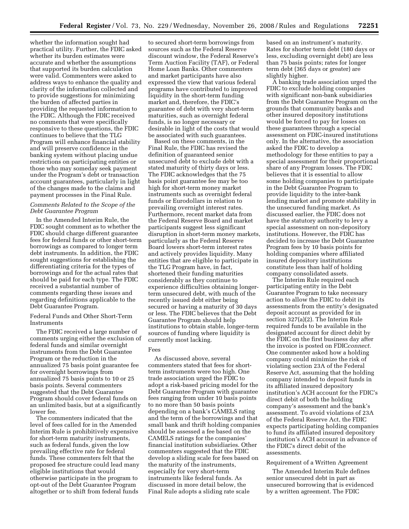whether the information sought had practical utility. Further, the FDIC asked whether its burden estimates were accurate and whether the assumptions that supported its burden calculation were valid. Commenters were asked to address ways to enhance the quality and clarity of the information collected and to provide suggestions for minimizing the burden of affected parties in providing the requested information to the FDIC. Although the FDIC received no comments that were specifically responsive to these questions, the FDIC continues to believe that the TLG Program will enhance financial stability and will preserve confidence in the banking system without placing undue restrictions on participating entities or those who may someday seek payment under the Program's debt or transaction account guarantees, particularly in light of the changes made to the claims and payment processes in the Final Rule.

# *Comments Related to the Scope of the Debt Guarantee Program*

In the Amended Interim Rule, the FDIC sought comment as to whether the FDIC should charge different guarantee fees for federal funds or other short-term borrowings as compared to longer term debt instruments. In addition, the FDIC sought suggestions for establishing the differentiating criteria for the types of borrowings and for the actual rates that should be paid for each type. The FDIC received a substantial number of comments regarding these issues and regarding definitions applicable to the Debt Guarantee Program.

Federal Funds and Other Short-Term **Instruments** 

The FDIC received a large number of comments urging either the exclusion of federal funds and similar overnight instruments from the Debt Guarantee Program or the reduction in the annualized 75 basis point guarantee fee for overnight borrowings from annualized 75 basis points to 10 or 25 basis points. Several commenters suggested that the Debt Guarantee Program should cover federal funds on an unlimited basis, but at a significantly lower fee.

The commenters indicated that the level of fees called for in the Amended Interim Rule is prohibitively expensive for short-term maturity instruments, such as federal funds, given the low prevailing effective rate for federal funds. These commenters felt that the proposed fee structure could lead many eligible institutions that would otherwise participate in the program to opt-out of the Debt Guarantee Program altogether or to shift from federal funds

to secured short-term borrowings from sources such as the Federal Reserve discount window, the Federal Reserve's Term Auction Facility (TAF), or Federal Home Loan Banks. Other commenters and market participants have also expressed the view that various federal programs have contributed to improved liquidity in the short-term funding market and, therefore, the FDIC's guarantee of debt with very short-term maturities, such as overnight federal funds, is no longer necessary or desirable in light of the costs that would be associated with such guarantees.

Based on these comments, in the Final Rule, the FDIC has revised the definition of guaranteed senior unsecured debt to exclude debt with a stated maturity of thirty days or less. The FDIC acknowledges that the 75 basis point guarantee fee may be too high for short-term money market instruments such as overnight federal funds or Eurodollars in relation to prevailing overnight interest rates. Furthermore, recent market data from the Federal Reserve Board and market participants suggest less significant disruption in short-term money markets, particularly as the Federal Reserve Board lowers short-term interest rates and actively provides liquidity. Many entities that are eligible to participate in the TLG Program have, in fact, shortened their funding maturities considerably as they continue to experience difficulties obtaining longerterm unsecured debt, with much of the recently issued debt either being secured or having a maturity of 30 days or less. The FDIC believes that the Debt Guarantee Program should help institutions to obtain stable, longer-term sources of funding where liquidity is currently most lacking.

# Fees

As discussed above, several commenters stated that fees for shortterm instruments were too high. One trade association urged the FDIC to adopt a risk-based pricing model for the Debt Guarantee Program with guarantee fees ranging from under 10 basis points to no more than 50 basis points depending on a bank's CAMELS rating and the term of the borrowings and that small bank and thrift holding companies should be assessed a fee based on the CAMELS ratings for the companies' financial institution subsidiaries. Other commenters suggested that the FDIC develop a sliding scale for fees based on the maturity of the instruments, especially for very short-term instruments like federal funds. As discussed in more detail below, the Final Rule adopts a sliding rate scale

based on an instrument's maturity. Rates for shorter term debt (180 days or less, excluding overnight debt) are less than 75 basis points; rates for longer term debt (365 days or greater) are slightly higher.

A banking trade association urged the FDIC to exclude holding companies with significant non-bank subsidiaries from the Debt Guarantee Program on the grounds that community banks and other insured depository institutions would be forced to pay for losses on these guarantees through a special assessment on FDIC-insured institutions only. In the alternative, the association asked the FDIC to develop a methodology for these entities to pay a special assessment for their proportional share of any Program losses. The FDIC believes that it is essential to allow some holding companies to participate in the Debt Guarantee Program to provide liquidity to the inter-bank lending market and promote stability in the unsecured funding market. As discussed earlier, the FDIC does not have the statutory authority to levy a special assessment on non-depository institutions. However, the FDIC has decided to increase the Debt Guarantee Program fees by 10 basis points for holding companies where affiliated insured depository institutions constitute less than half of holding company consolidated assets.

The Interim Rule required each participating entity in the Debt Guarantee Program to take necessary action to allow the FDIC to debit its assessments from the entity's designated deposit account as provided for in section 327(a)(2). The Interim Rule required funds to be available in the designated account for direct debit by the FDIC on the first business day after the invoice is posted on FDIC*connect*. One commenter asked how a holding company could minimize the risk of violating section 23A of the Federal Reserve Act, assuming that the holding company intended to deposit funds in its affiliated insured depository institution's ACH account for the FDIC's direct debit of both the holding company's assessment and the bank's assessment. To avoid violations of 23A of the Federal Reserve Act, the FDIC expects participating holding companies to fund its affiliated insured depository institution's ACH account in advance of the FDIC's direct debit of the assessments.

#### Requirement of a Written Agreement

The Amended Interim Rule defines senior unsecured debt in part as unsecured borrowing that is evidenced by a written agreement. The FDIC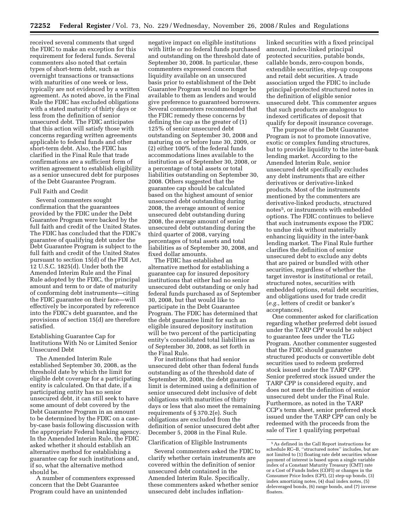received several comments that urged the FDIC to make an exception for this requirement for federal funds. Several commenters also noted that certain types of short-term debt, such as overnight transactions or transactions with maturities of one week or less, typically are not evidenced by a written agreement. As noted above, in the Final Rule the FDIC has excluded obligations with a stated maturity of thirty days or less from the definition of senior unsecured debt. The FDIC anticipates that this action will satisfy those with concerns regarding written agreements applicable to federal funds and other short-term debt. Also, the FDIC has clarified in the Final Rule that trade confirmations are a sufficient form of written agreement to establish eligibility as a senior unsecured debt for purposes of the Debt Guarantee Program.

## Full Faith and Credit

Several commenters sought confirmation that the guarantees provided by the FDIC under the Debt Guarantee Program were backed by the full faith and credit of the United States. The FDIC has concluded that the FDIC's guarantee of qualifying debt under the Debt Guarantee Program is subject to the full faith and credit of the United States pursuant to section 15(d) of the FDI Act, 12 U.S.C. 1825(d). Under both the Amended Interim Rule and the Final Rule adopted by the FDIC, the principal amount and term to or date of maturity of conforming debt instruments—citing the FDIC guarantee on their face—will effectively be incorporated by reference into the FDIC's debt guarantee, and the provisions of section 15(d) are therefore satisfied.

# Establishing Guarantee Cap for Institutions With No or Limited Senior Unsecured Debt

The Amended Interim Rule established September 30, 2008, as the threshold date by which the limit for eligible debt coverage for a participating entity is calculated. On that date, if a participating entity has no senior unsecured debt, it can still seek to have some amount of debt covered by the Debt Guarantee Program in an amount to be determined by the FDIC on a caseby-case basis following discussion with the appropriate Federal banking agency. In the Amended Interim Rule, the FDIC asked whether it should establish an alternative method for establishing a guarantee cap for such institutions and, if so, what the alternative method should be.

A number of commenters expressed concern that the Debt Guarantee Program could have an unintended

negative impact on eligible institutions with little or no federal funds purchased and outstanding on the threshold date of September 30, 2008. In particular, these commenters expressed concern that liquidity available on an unsecured basis prior to establishment of the Debt Guarantee Program would no longer be available to them as lenders and would give preference to guaranteed borrowers. Several commenters recommended that the FDIC remedy these concerns by defining the cap as the greater of (1) 125% of senior unsecured debt outstanding on September 30, 2008 and maturing on or before June 30, 2009, or (2) either 100% of the federal funds accommodations lines available to the institution as of September 30, 2008, or a percentage of total assets or total liabilities outstanding on September 30, 2008. Others suggested that the guarantee cap should be calculated based on the highest amount of senior unsecured debt outstanding during 2008, the average amount of senior unsecured debt outstanding during 2008, the average amount of senior unsecured debt outstanding during the third quarter of 2008, varying percentages of total assets and total liabilities as of September 30, 2008, and fixed dollar amounts.

The FDIC has established an alternative method for establishing a guarantee cap for insured depository institutions that either had no senior unsecured debt outstanding or only had federal funds purchased as of September 30, 2008, but that would like to participate in the Debt Guarantee Program. The FDIC has determined that the debt guarantee limit for such an eligible insured depository institution will be two percent of the participating entity's consolidated total liabilities as of September 30, 2008, as set forth in the Final Rule.

For institutions that had senior unsecured debt other than federal funds outstanding as of the threshold date of September 30, 2008, the debt guarantee limit is determined using a definition of senior unsecured debt inclusive of debt obligations with maturities of thirty days or less that also meet the remaining requirements of § 370.2(e). Such obligations are excluded from the definition of senior unsecured debt after December 5, 2008 in the Final Rule.

# Clarification of Eligible Instruments

Several commenters asked the FDIC to clarify whether certain instruments are covered within the definition of senior unsecured debt contained in the Amended Interim Rule. Specifically, these commenters asked whether senior unsecured debt includes inflation-

linked securities with a fixed principal amount, index-linked principal protected securities, putable bonds, callable bonds, zero-coupon bonds, extendible securities, step-up coupons and retail debt securities. A trade association urged the FDIC to include principal-protected structured notes in the definition of eligible senior unsecured debt. This commenter argues that such products are analogous to indexed certificates of deposit that qualify for deposit insurance coverage.

The purpose of the Debt Guarantee Program is not to promote innovative, exotic or complex funding structures, but to provide liquidity to the inter-bank lending market. According to the Amended Interim Rule, senior unsecured debt specifically excludes any debt instruments that are either derivatives or derivative-linked products. Most of the instruments mentioned by the commenters are derivative-linked products, structured notes5, or instruments with embedded options. The FDIC continues to believe that such instruments expose the FDIC to undue risk without materially enhancing liquidity in the inter-bank lending market. The Final Rule further clarifies the definition of senior unsecured debt to exclude any debts that are paired or bundled with other securities, regardless of whether the target investor is institutional or retail, structured notes, securities with embedded options, retail debt securities, and obligations used for trade credit (*e.g.*, letters of credit or banker's acceptances).

One commenter asked for clarification regarding whether preferred debt issued under the TARP CPP would be subject to guarantee fees under the TLG Program. Another commenter suggested that the FDIC should guarantee structured products or convertible debt securities used to redeem preferred stock issued under the TARP CPP. Senior preferred stock issued under the TARP CPP is considered equity, and does not meet the definition of senior unsecured debt under the Final Rule. Furthermore, as noted in the TARP CCP's term sheet, senior preferred stock issued under the TARP CPP can only be redeemed with the proceeds from the sale of Tier 1 qualifying perpetual

<sup>5</sup>As defined in the Call Report instructions for schedule RC–B, ''structured notes'' includes, but are not limited to (1) floating rate debt securities whose payment of interest is based upon a single variable index of a Constant Maturity Treasury (CMT) rate or a Cost of Funds Index (COFI) or changes in the Consumer Price Index (CPI), (2) step-up bonds, (3) index amortizing notes, (4) dual index notes, (5) deleveraged bonds, (6) range bonds, and (7) inverse floaters.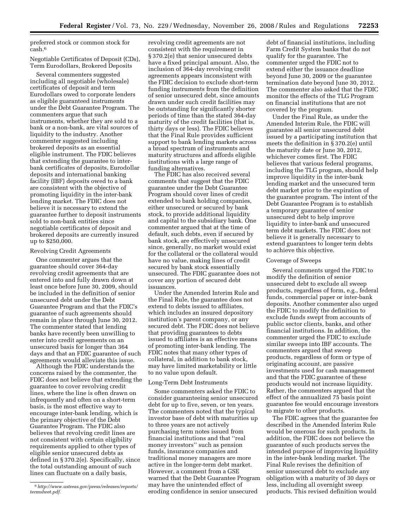preferred stock or common stock for cash.6

Negotiable Certificates of Deposit (CDs), Term Eurodollars, Brokered Deposits

Several commenters suggested including all negotiable (wholesale) certificates of deposit and term Eurodollars owed to corporate lenders as eligible guaranteed instruments under the Debt Guarantee Program. The commenters argue that such instruments, whether they are sold to a bank or a non-bank, are vital sources of liquidity to the industry. Another commenter suggested including brokered deposits as an essential eligible instrument. The FDIC believes that extending the guarantee to interbank certificates of deposits, Eurodollar deposits and international banking facility (IBF) deposits owed to a bank are consistent with the objective of promoting liquidity in the inter-bank lending market. The FDIC does not believe it is necessary to extend the guarantee further to deposit instruments sold to non-bank entities since negotiable certificates of deposit and brokered deposits are currently insured up to \$250,000.

#### Revolving Credit Agreements

One commenter argues that the guarantee should cover 364-day revolving credit agreements that are entered into and fully drawn down at least once before June 30, 2009, should be included in the definition of senior unsecured debt under the Debt Guarantee Program and that the FDIC's guarantee of such agreements should remain in place through June 30, 2012. The commenter stated that lending banks have recently been unwilling to enter into credit agreements on an unsecured basis for longer than 364 days and that an FDIC guarantee of such agreements would alleviate this issue.

Although the FDIC understands the concerns raised by the commenter, the FDIC does not believe that extending the guarantee to cover revolving credit lines, where the line is often drawn on infrequently and often on a short-term basis, is the most effective way to encourage inter-bank lending, which is the primary objective of the Debt Guarantee Program. The FDIC also believes that revolving credit lines are not consistent with certain eligibility requirements applied to other types of eligible senior unsecured debts as defined in § 370.2(e). Specifically, since the total outstanding amount of such lines can fluctuate on a daily basis,

revolving credit agreements are not consistent with the requirement in § 370.2(e) that senior unsecured debts have a fixed principal amount. Also, the inclusion of 364-day revolving credit agreements appears inconsistent with the FDIC decision to exclude short-term funding instruments from the definition of senior unsecured debt, since amounts drawn under such credit facilities may be outstanding for significantly shorter periods of time than the stated 364-day maturity of the credit facilities (that is, thirty days or less). The FDIC believes that the Final Rule provides sufficient support to bank lending markets across a broad spectrum of instruments and maturity structures and affords eligible institutions with a large range of funding alternatives.

The FDIC has also received several comments that suggest that the FDIC guarantee under the Debt Guarantee Program should cover lines of credit extended to bank holding companies, either unsecured or secured by bank stock, to provide additional liquidity and capital to the subsidiary bank. One commenter argued that at the time of default, such debts, even if secured by bank stock, are effectively unsecured since, generally, no market would exist for the collateral or the collateral would have no value, making lines of credit secured by bank stock essentially unsecured. The FDIC guarantee does not cover any portion of secured debt issuances.

Under the Amended Interim Rule and the Final Rule, the guarantee does not extend to debts issued to affiliates, which includes an insured depository institution's parent company, or any secured debt. The FDIC does not believe that providing guarantees to debts issued to affiliates is an effective means of promoting inter-bank lending. The FDIC notes that many other types of collateral, in addition to bank stock, may have limited marketability or little to no value upon default.

## Long-Term Debt Instruments

Some commenters asked the FDIC to consider guaranteeing senior unsecured debt for up to five, seven, or ten years. The commenters noted that the typical investor base of debt with maturities up to three years are not actively purchasing term notes issued from financial institutions and that ''real money investors'' such as pension funds, insurance companies and traditional money managers are more active in the longer-term debt market. However, a comment from a GSE warned that the Debt Guarantee Program may have the unintended effect of eroding confidence in senior unsecured

debt of financial institutions, including Farm Credit System banks that do not qualify for the guarantee. The commenter urged the FDIC not to extend either the issuance deadline beyond June 30, 2009 or the guarantee termination date beyond June 30, 2012. The commenter also asked that the FDIC monitor the effects of the TLG Program on financial institutions that are not covered by the program.

Under the Final Rule, as under the Amended Interim Rule, the FDIC will guarantee all senior unsecured debt issued by a participating institution that meets the definition in § 370.2(e) until the maturity date or June 30, 2012, whichever comes first. The FDIC believes that various federal programs, including the TLG program, should help improve liquidity in the inter-bank lending market and the unsecured term debt market prior to the expiration of the guarantee program. The intent of the Debt Guarantee Program is to establish a temporary guarantee of senior unsecured debt to help improve liquidity to inter-bank and unsecured term debt markets. The FDIC does not believe it is generally necessary to extend guarantees to longer term debts to achieve this objective.

#### Coverage of Sweeps

Several comments urged the FDIC to modify the definition of senior unsecured debt to exclude all sweep products, regardless of form, e.g., federal funds, commercial paper or inter-bank deposits. Another commenter also urged the FDIC to modify the definition to exclude funds swept from accounts of public sector clients, banks, and other financial institutions. In addition, the commenter urged the FDIC to exclude similar sweeps into IBF accounts. The commenters argued that sweep products, regardless of form or type of originating account, are passive investments used for cash management and that the FDIC guarantee of these products would not increase liquidity. Rather, the commenters argued that the effect of the annualized 75 basis point guarantee fee would encourage investors to migrate to other products.

The FDIC agrees that the guarantee fee described in the Amended Interim Rule would be onerous for such products. In addition, the FDIC does not believe the guarantee of such products serves the intended purpose of improving liquidity in the inter-bank lending market. The Final Rule revises the definition of senior unsecured debt to exclude any obligation with a maturity of 30 days or less, including all overnight sweep products. This revised definition would

<sup>6</sup>*[http://www.ustreas.gov/press/releases/reports/](http://www.ustreas.gov/press/releases/reports/termsheet.pdf)  termsheet.pdf.*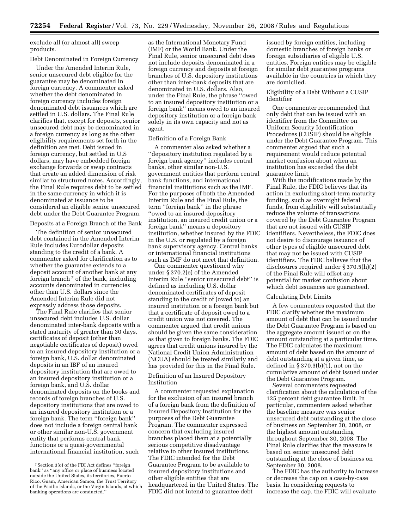exclude all (or almost all) sweep products.

# Debt Denominated in Foreign Currency

Under the Amended Interim Rule, senior unsecured debt eligible for the guarantee may be denominated in foreign currency. A commenter asked whether the debt denominated in foreign currency includes foreign denominated debt issuances which are settled in U.S. dollars. The Final Rule clarifies that, except for deposits, senior unsecured debt may be denominated in a foreign currency as long as the other eligibility requirements set forth in the definition are met. Debt issued in foreign currency, but settled in U.S dollars, may have embedded foreign exchange forwards or swap contracts that create an added dimension of risk similar to structured notes. Accordingly, the Final Rule requires debt to be settled in the same currency in which it is denominated at issuance to be considered an eligible senior unsecured debt under the Debt Guarantee Program.

Deposits at a Foreign Branch of the Bank

The definition of senior unsecured debt contained in the Amended Interim Rule includes Eurodollar deposits standing to the credit of a bank. A commenter asked for clarification as to whether the guarantee extends to a deposit account of another bank at any foreign branch 7 of the bank, including accounts denominated in currencies other than U.S. dollars since the Amended Interim Rule did not expressly address those deposits.

The Final Rule clarifies that senior unsecured debt includes U.S. dollar denominated inter-bank deposits with a stated maturity of greater than 30 days, certificates of deposit (other than negotiable certificates of deposit) owed to an insured depository institution or a foreign bank, U.S. dollar denominated deposits in an IBF of an insured depository institution that are owed to an insured depository institution or a foreign bank, and U.S. dollar denominated deposits on the books and records of foreign branches of U.S. depository institutions that are owed to an insured depository institution or a foreign bank. The term ''foreign bank'' does not include a foreign central bank or other similar non-U.S. government entity that performs central bank functions or a quasi-governmental international financial institution, such

as the International Monetary Fund (IMF) or the World Bank. Under the Final Rule, senior unsecured debt does not include deposits denominated in a foreign currency and deposits at foreign branches of U.S. depository institutions other than inter-bank deposits that are denominated in U.S. dollars. Also, under the Final Rule, the phrase ''owed to an insured depository institution or a foreign bank'' means owed to an insured depository institution or a foreign bank solely in its own capacity and not as agent.

## Definition of a Foreign Bank

A commenter also asked whether a ''depository institution regulated by a foreign bank agency'' includes central banks, other similar non-U.S. government entities that perform central bank functions, and international financial institutions such as the IMF. For the purposes of both the Amended Interim Rule and the Final Rule, the term ''foreign bank'' in the phrase ''owed to an insured depository institution, an insured credit union or a foreign bank'' means a depository institution, whether insured by the FDIC in the U.S. or regulated by a foreign bank supervisory agency. Central banks or international financial institutions such as IMF do not meet that definition.

One commenter questioned why under § 370.2(e) of the Amended Interim Rule ''senior unsecured debt'' is defined as including U.S. dollar denominated certificates of deposit standing to the credit of (owed to) an insured institution or a foreign bank but that a certificate of deposit owed to a credit union was not covered. The commenter argued that credit unions should be given the same consideration as that given to foreign banks. The FDIC agrees that credit unions insured by the National Credit Union Administration (NCUA) should be treated similarly and has provided for this in the Final Rule.

# Definition of an Insured Depository Institution

A commenter requested explanation for the exclusion of an insured branch of a foreign bank from the definition of Insured Depository Institution for the purposes of the Debt Guarantee Program. The commenter expressed concern that excluding insured branches placed them at a potentially serious competitive disadvantage relative to other insured institutions. The FDIC intended for the Debt Guarantee Program to be available to insured depository institutions and other eligible entities that are headquartered in the United States. The FDIC did not intend to guarantee debt

issued by foreign entities, including domestic branches of foreign banks or foreign subsidiaries of eligible U.S. entities. Foreign entities may be eligible for similar debt guarantee programs available in the countries in which they are domiciled.

# Eligibility of a Debt Without a CUSIP Identifier

One commenter recommended that only debt that can be issued with an identifier from the Committee on Uniform Security Identification Procedures (CUSIP) should be eligible under the Debt Guarantee Program. This commenter argued that such a requirement would reduce potential market confusion about when an institution has exceeded the debt guarantee limit.

With the modifications made by the Final Rule, the FDIC believes that its action in excluding short-term maturity funding, such as overnight federal funds, from eligibility will substantially reduce the volume of transactions covered by the Debt Guarantee Program that are not issued with CUSIP identifiers. Nevertheless, the FDIC does not desire to discourage issuance of other types of eligible unsecured debt that may not be issued with CUSIP identifiers. The FDIC believes that the disclosures required under § 370.5(h)(2) of the Final Rule will offset any potential for market confusion about which debt issuances are guaranteed.

#### Calculating Debt Limits

A few commenters requested that the FDIC clarify whether the maximum amount of debt that can be issued under the Debt Guarantee Program is based on the aggregate amount issued or on the amount outstanding at a particular time. The FDIC calculates the maximum amount of debt based on the amount of debt outstanding at a given time, as defined in  $\S 370.3(b)(1)$ , not on the cumulative amount of debt issued under the Debt Guarantee Program.

Several commenters requested clarification about the calculation of the 125 percent debt guarantee limit. In particular, commenters asked whether the baseline measure was senior unsecured debt outstanding at the close of business on September 30, 2008, or the highest amount outstanding throughout September 30, 2008. The Final Rule clarifies that the measure is based on senior unsecured debt outstanding at the close of business on September 30, 2008.

The FDIC has the authority to increase or decrease the cap on a case-by-case basis. In considering requests to increase the cap, the FDIC will evaluate

<sup>7</sup>Section 3(o) of the FDI Act defines ''foreign bank'' as ''any office or place of business located outside the United States, its territories, Puerto Rico, Guam, American Samoa, the Trust Territory of the Pacific Islands, or the Virgin Islands, at which banking operations are conducted.''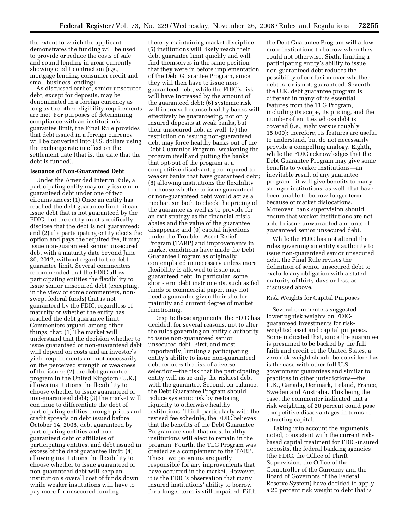the extent to which the applicant demonstrates the funding will be used to provide or reduce the costs of safe and sound lending in areas currently showing credit contraction (e.g., mortgage lending, consumer credit and small business lending).

As discussed earlier, senior unsecured debt, except for deposits, may be denominated in a foreign currency as long as the other eligibility requirements are met. For purposes of determining compliance with an institution's guarantee limit, the Final Rule provides that debt issued in a foreign currency will be converted into U.S. dollars using the exchange rate in effect on the settlement date (that is, the date that the debt is funded).

# **Issuance of Non-Guaranteed Debt**

Under the Amended Interim Rule, a participating entity may only issue nonguaranteed debt under one of two circumstances: (1) Once an entity has reached the debt guarantee limit, it can issue debt that is not guaranteed by the FDIC, but the entity must specifically disclose that the debt is not guaranteed; and (2) if a participating entity elects the option and pays the required fee, it may issue non-guaranteed senior unsecured debt with a maturity date beyond June 30, 2012, without regard to the debt guarantee limit. Several commenters recommended that the FDIC allow participating entities the flexibility to issue senior unsecured debt (excepting, in the view of some commenters, nonswept federal funds) that is not guaranteed by the FDIC, regardless of maturity or whether the entity has reached the debt guarantee limit. Commenters argued, among other things, that: (1) The market will understand that the decision whether to issue guaranteed or non-guaranteed debt will depend on costs and an investor's yield requirements and not necessarily on the perceived strength or weakness of the issuer; (2) the debt guarantee program in the United Kingdom (U.K.) allows institutions the flexibility to choose whether to issue guaranteed or non-guaranteed debt; (3) the market will continue to differentiate the debt of participating entities through prices and credit spreads on debt issued before October 14, 2008, debt guaranteed by participating entities and nonguaranteed debt of affiliates of participating entities, and debt issued in excess of the debt guarantee limit; (4) allowing institutions the flexibility to choose whether to issue guaranteed or non-guaranteed debt will keep an institution's overall cost of funds down while weaker institutions will have to pay more for unsecured funding,

thereby maintaining market discipline; (5) institutions will likely reach their debt guarantee limit quickly and will find themselves in the same position that they were in before implementation of the Debt Guarantee Program, since they will then have to issue nonguaranteed debt, while the FDIC's risk will have increased by the amount of the guaranteed debt; (6) systemic risk will increase because healthy banks will effectively be guaranteeing, not only insured deposits at weak banks, but their unsecured debt as well; (7) the restriction on issuing non-guaranteed debt may force healthy banks out of the Debt Guarantee Program, weakening the program itself and putting the banks that opt-out of the program at a competitive disadvantage compared to weaker banks that have guaranteed debt; (8) allowing institutions the flexibility to choose whether to issue guaranteed or non-guaranteed debt would act as a mechanism both to check the pricing of the guarantee as well as to provide for an exit strategy as the financial crisis abates and the value of the guarantee disappears; and (9) capital injections under the Troubled Asset Relief Program (TARP) and improvements in market conditions have made the Debt Guarantee Program as originally contemplated unnecessary unless more flexibility is allowed to issue nonguaranteed debt. In particular, some short-term debt instruments, such as fed funds or commercial paper, may not need a guarantee given their shorter maturity and current degree of market functioning.

Despite these arguments, the FDIC has decided, for several reasons, not to alter the rules governing an entity's authority to issue non-guaranteed senior unsecured debt. First, and most importantly, limiting a participating entity's ability to issue non-guaranteed debt reduces the risk of adverse selection—the risk that the participating entity will issue only the riskiest debt with the guarantee. Second, on balance, the Debt Guarantee Program should reduce systemic risk by restoring liquidity to otherwise healthy institutions. Third, particularly with the revised fee schedule, the FDIC believes that the benefits of the Debt Guarantee Program are such that most healthy institutions will elect to remain in the program. Fourth, the TLG Program was created as a complement to the TARP. These two programs are partly responsible for any improvements that have occurred in the market. However, it is the FDIC's observation that many insured institutions' ability to borrow for a longer term is still impaired. Fifth,

the Debt Guarantee Program will allow more institutions to borrow when they could not otherwise. Sixth, limiting a participating entity's ability to issue non-guaranteed debt reduces the possibility of confusion over whether debt is, or is not, guaranteed. Seventh, the U.K. debt guarantee program is different in many of its essential features from the TLG Program, including its scope, its pricing, and the number of entities whose debt is covered (i.e., eight versus roughly 15,000); therefore, its features are useful to understand, but do not necessarily provide a compelling analogy. Eighth, while the FDIC acknowledges that the Debt Guarantee Program may give some benefits to weaker institutions—an inevitable result of any guarantee program—it will give benefits to many stronger institutions, as well, that have been unable to borrow longer term because of market dislocations. Moreover, bank supervision should ensure that weaker institutions are not able to issue unwarranted amounts of guaranteed senior unsecured debt.

While the FDIC has not altered the rules governing an entity's authority to issue non-guaranteed senior unsecured debt, the Final Rule revises the definition of senior unsecured debt to exclude any obligation with a stated maturity of thirty days or less, as discussed above.

#### Risk Weights for Capital Purposes

Several commenters suggested lowering risk weights on FDICguaranteed investments for riskweighted asset and capital purposes. Some indicated that, since the guarantee is presumed to be backed by the full faith and credit of the United States, a zero risk weight should be considered as is the case with other full U.S. government guarantees and similar to practices in other jurisdictions—the U.K., Canada, Denmark, Ireland, France, Sweden and Australia. This being the case, the commenter indicated that a risk weighting of 20 percent could pose competitive disadvantages in terms of attracting capital.

Taking into account the arguments noted, consistent with the current riskbased capital treatment for FDIC-insured deposits, the federal banking agencies (the FDIC, the Office of Thrift Supervision, the Office of the Comptroller of the Currency and the Board of Governors of the Federal Reserve System) have decided to apply a 20 percent risk weight to debt that is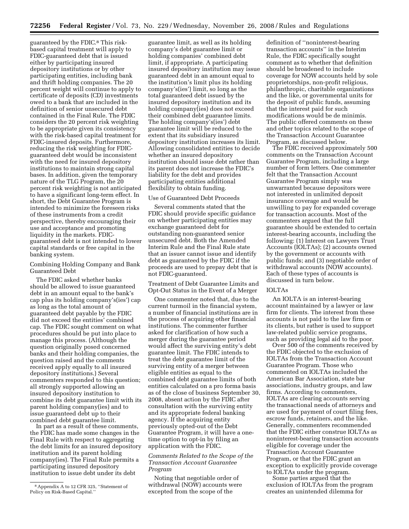guaranteed by the FDIC.8 This riskbased capital treatment will apply to FDIC-guaranteed debt that is issued either by participating insured depository institutions or by other participating entities, including bank and thrift holding companies. The 20 percent weight will continue to apply to certificate of deposits (CD) investments owed to a bank that are included in the definition of senior unsecured debt contained in the Final Rule. The FDIC considers the 20 percent risk weighting to be appropriate given its consistency with the risk-based capital treatment for FDIC-insured deposits. Furthermore, reducing the risk weighting for FDICguaranteed debt would be inconsistent with the need for insured depository institutions to maintain strong capital bases. In addition, given the temporary nature of the TLG Program, the 20 percent risk weighting is not anticipated to have a significant long-term effect. In short, the Debt Guarantee Program is intended to minimize the foreseen risks of these instruments from a credit perspective, thereby encouraging their use and acceptance and promoting liquidity in the markets. FDICguaranteed debt is not intended to lower capital standards or free capital in the banking system.

# Combining Holding Company and Bank Guaranteed Debt

The FDIC asked whether banks should be allowed to issue guaranteed debt in an amount equal to the bank's cap plus its holding company's(ies') cap as long as the total amount of guaranteed debt payable by the FDIC did not exceed the entities' combined cap. The FDIC sought comment on what procedures should be put into place to manage this process. (Although the question originally posed concerned banks and their holding companies, the question raised and the comments received apply equally to all insured depository institutions.) Several commenters responded to this question; all strongly supported allowing an insured depository institution to combine its debt guarantee limit with its parent holding company(ies) and to issue guaranteed debt up to their combined debt guarantee limit.

In part as a result of these comments, the FDIC has made some changes in the Final Rule with respect to aggregating the debt limits for an insured depository institution and its parent holding company(ies). The Final Rule permits a participating insured depository institution to issue debt under its debt

guarantee limit, as well as its holding company's debt guarantee limit or holding companies' combined debt limit, if appropriate. A participating insured depository institution may issue guaranteed debt in an amount equal to the institution's limit plus its holding company's(ies') limit, so long as the total guaranteed debt issued by the insured depository institution and its holding company(ies) does not exceed their combined debt guarantee limits. The holding company's(ies') debt guarantee limit will be reduced to the extent that its subsidiary insured depository institution increases its limit. Allowing consolidated entities to decide whether an insured depository institution should issue debt rather than its parent does not increase the FDIC's liability for the debt and provides participating entities additional flexibility to obtain funding.

#### Use of Guaranteed Debt Proceeds

Several comments stated that the FDIC should provide specific guidance on whether participating entities may exchange guaranteed debt for outstanding non-guaranteed senior unsecured debt. Both the Amended Interim Rule and the Final Rule state that an issuer cannot issue and identify debt as guaranteed by the FDIC if the proceeds are used to prepay debt that is not FDIC-guaranteed.

Treatment of Debt Guarantee Limits and Opt-Out Status in the Event of a Merger

One commenter noted that, due to the current turmoil in the financial system, a number of financial institutions are in the process of acquiring other financial institutions. The commenter further asked for clarification of how such a merger during the guarantee period would affect the surviving entity's debt guarantee limit. The FDIC intends to treat the debt guarantee limit of the surviving entity of a merger between eligible entities as equal to the combined debt guarantee limits of both entities calculated on a pro forma basis as of the close of business September 30, 2008, absent action by the FDIC after consultation with the surviving entity and its appropriate federal banking agency. If the acquiring entity previously opted-out of the Debt Guarantee Program, it will have a onetime option to opt-in by filing an application with the FDIC.

# *Comments Related to the Scope of the Transaction Account Guarantee Program*

Noting that negotiable order of withdrawal (NOW) accounts were excepted from the scope of the

definition of ''noninterest-bearing transaction accounts'' in the Interim Rule, the FDIC specifically sought comment as to whether that definition should be broadened to include coverage for NOW accounts held by sole proprietorships, non-profit religious, philanthropic, charitable organizations and the like, or governmental units for the deposit of public funds, assuming that the interest paid for such modifications would be de minimis. The public offered comments on these and other topics related to the scope of the Transaction Account Guarantee Program, as discussed below.

The FDIC received approximately 500 comments on the Transaction Account Guarantee Program, including a large number of form letters. One commenter felt that the Transaction Account Guarantee Program simply was unwarranted because depositors were not interested in unlimited deposit insurance coverage and would be unwilling to pay for expanded coverage for transaction accounts. Most of the commenters argued that the full guarantee should be extended to certain interest-bearing accounts, including the following: (1) Interest on Lawyers Trust Accounts (IOLTAs); (2) accounts owned by the government or accounts with public funds; and (3) negotiable order of withdrawal accounts (NOW accounts). Each of these types of accounts is discussed in turn below.

## IOLTAs

An IOLTA is an interest-bearing account maintained by a lawyer or law firm for clients. The interest from these accounts is not paid to the law firm or its clients, but rather is used to support law-related public service programs, such as providing legal aid to the poor.

Over 500 of the comments received by the FDIC objected to the exclusion of IOLTAs from the Transaction Account Guarantee Program. Those who commented on IOLTAs included the American Bar Association, state bar associations, industry groups, and law firms. According to commenters, IOLTAs are clearing accounts serving the transactional needs of attorneys and are used for payment of court filing fees, escrow funds, retainers, and the like. Generally, commenters recommended that the FDIC either construe IOLTAs as noninterest-bearing transaction accounts eligible for coverage under the Transaction Account Guarantee Program, or that the FDIC grant an exception to explicitly provide coverage to IOLTAs under the program.

Some parties argued that the exclusion of IOLTAs from the program creates an unintended dilemma for

<sup>8</sup>Appendix A to 12 CFR 325, ''Statement of Policy on Risk-Based Capital.''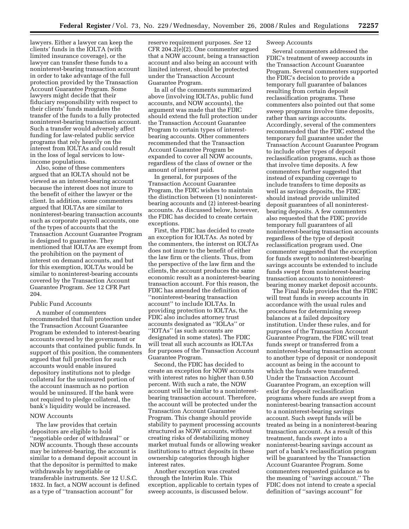lawyers. Either a lawyer can keep the clients' funds in the IOLTA (with limited insurance coverage), or the lawyer can transfer these funds to a noninterest-bearing transaction account in order to take advantage of the full protection provided by the Transaction Account Guarantee Program. Some lawyers might decide that their fiduciary responsibility with respect to their clients' funds mandates the transfer of the funds to a fully protected noninterest-bearing transaction account. Such a transfer would adversely affect funding for law-related public service programs that rely heavily on the interest from IOLTAs and could result in the loss of legal services to lowincome populations.

Also, some of these commenters argued that an IOLTA should not be viewed as an interest-bearing account because the interest does not inure to the benefit of either the lawyer or the client. In addition, some commenters argued that IOLTAs are similar to noninterest-bearing transaction accounts such as corporate payroll accounts, one of the types of accounts that the Transaction Account Guarantee Program is designed to guarantee. They mentioned that IOLTAs are exempt from the prohibition on the payment of interest on demand accounts, and but for this exemption, IOLTAs would be similar to noninterest-bearing accounts covered by the Transaction Account Guarantee Program. *See* 12 CFR Part 204.

# Public Fund Accounts

A number of commenters recommended that full protection under the Transaction Account Guarantee Program be extended to interest-bearing accounts owned by the government or accounts that contained public funds. In support of this position, the commenters argued that full protection for such accounts would enable insured depository institutions not to pledge collateral for the uninsured portion of the account inasmuch as no portion would be uninsured. If the bank were not required to pledge collateral, the bank's liquidity would be increased.

#### NOW Accounts

The law provides that certain depositors are eligible to hold ''negotiable order of withdrawal'' or NOW accounts. Though these accounts may be interest-bearing, the account is similar to a demand deposit account in that the depositor is permitted to make withdrawals by negotiable or transferable instruments. *See* 12 U.S.C. 1832. In fact, a NOW account is defined as a type of ''transaction account'' for

reserve requirement purposes. *See* 12 CFR 204.2(e)(2). One commenter argued that a NOW account, being a transaction account and also being an account with limited interest, should be protected under the Transaction Account Guarantee Program.

In all of the comments summarized above (involving IOLTAs, public fund accounts, and NOW accounts), the argument was made that the FDIC should extend the full protection under the Transaction Account Guarantee Program to certain types of interestbearing accounts. Other commenters recommended that the Transaction Account Guarantee Program be expanded to cover all NOW accounts, regardless of the class of owner or the amount of interest paid.

In general, for purposes of the Transaction Account Guarantee Program, the FDIC wishes to maintain the distinction between (1) noninterestbearing accounts and (2) interest-bearing accounts. As discussed below, however, the FDIC has decided to create certain exceptions.

First, the FDIC has decided to create an exception for IOLTAs. As noted by the commenters, the interest on IOLTAs does not inure to the benefit of either the law firm or the clients. Thus, from the perspective of the law firm and the clients, the account produces the same economic result as a noninterest-bearing transaction account. For this reason, the FDIC has amended the definition of ''noninterest-bearing transaction account'' to include IOLTAs. In providing protection to IOLTAs, the FDIC also includes attorney trust accounts designated as ''IOLAs'' or ''IOTAs'' (as such accounts are designated in some states). The FDIC will treat all such accounts as IOLTAs for purposes of the Transaction Account Guarantee Program.

Second, the FDIC has decided to create an exception for NOW accounts with interest rates no higher than 0.50 percent. With such a rate, the NOW account will be similar to a noninterestbearing transaction account. Therefore, the account will be protected under the Transaction Account Guarantee Program. This change should provide stability to payment processing accounts structured as NOW accounts, without creating risks of destabilizing money market mutual funds or allowing weaker institutions to attract deposits in these ownership categories through higher interest rates.

Another exception was created through the Interim Rule. This exception, applicable to certain types of sweep accounts, is discussed below.

## Sweep Accounts

Several commenters addressed the FDIC's treatment of sweep accounts in the Transaction Account Guarantee Program. Several commenters supported the FDIC's decision to provide a temporary full guarantee of balances resulting from certain deposit reclassification programs. These commenters also pointed out that some sweep programs involve time deposits, rather than savings accounts. Accordingly, several of the commenters recommended that the FDIC extend the temporary full guarantee under the Transaction Account Guarantee Program to include other types of deposit reclassification programs, such as those that involve time deposits. A few commenters further suggested that instead of expanding coverage to include transfers to time deposits as well as savings deposits, the FDIC should instead provide unlimited deposit guarantees of all noninterestbearing deposits. A few commenters also requested that the FDIC provide temporary full guarantees of all noninterest-bearing transaction accounts regardless of the type of deposit reclassification program used. One commenter suggested that the exception for funds swept to noninterest-bearing savings accounts be extended to include funds swept from noninterest-bearing transaction accounts to noninterestbearing money market deposit accounts.

The Final Rule provides that the FDIC will treat funds in sweep accounts in accordance with the usual rules and procedures for determining sweep balances at a failed depository institution. Under these rules, and for purposes of the Transaction Account Guarantee Program, the FDIC will treat funds swept or transferred from a noninterest-bearing transaction account to another type of deposit or nondeposit account as being in the account to which the funds were transferred. Under the Transaction Account Guarantee Program, an exception will exist for deposit reclassification programs where funds are swept from a noninterest-bearing transaction account to a noninterest-bearing savings account. Such swept funds will be treated as being in a noninterest-bearing transaction account. As a result of this treatment, funds swept into a noninterest-bearing savings account as part of a bank's reclassification program will be guaranteed by the Transaction Account Guarantee Program. Some commenters requested guidance as to the meaning of ''savings account.'' The FDIC does not intend to create a special definition of ''savings account'' for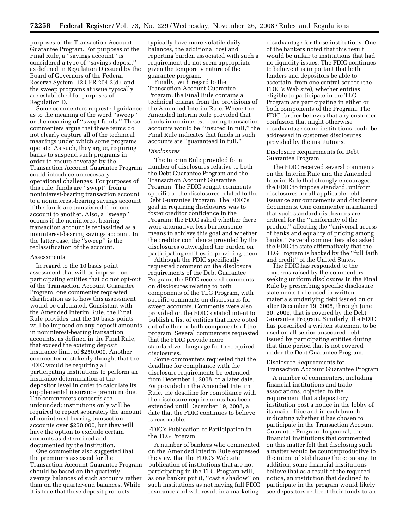purposes of the Transaction Account Guarantee Program. For purposes of the Final Rule, a ''savings account'' is considered a type of ''savings deposit'' as defined in Regulation D issued by the Board of Governors of the Federal Reserve System, 12 CFR 204.2(d), and the sweep programs at issue typically are established for purposes of Regulation D.

Some commenters requested guidance as to the meaning of the word ''sweep'' or the meaning of ''swept funds.'' These commenters argue that these terms do not clearly capture all of the technical meanings under which some programs operate. As such, they argue, requiring banks to suspend such programs in order to ensure coverage by the Transaction Account Guarantee Program could introduce unnecessary operational challenges. For purposes of this rule, funds are ''swept'' from a noninterest-bearing transaction account to a noninterest-bearing savings account if the funds are transferred from one account to another. Also, a ''sweep'' occurs if the noninterest-bearing transaction account is reclassified as a noninterest-bearing savings account. In the latter case, the ''sweep'' is the reclassification of the account.

#### Assessments

In regard to the 10 basis point assessment that will be imposed on participating entities that do not opt-out of the Transaction Account Guarantee Program, one commenter requested clarification as to how this assessment would be calculated. Consistent with the Amended Interim Rule, the Final Rule provides that the 10 basis points will be imposed on any deposit amounts in noninterest-bearing transaction accounts, as defined in the Final Rule, that exceed the existing deposit insurance limit of \$250,000. Another commenter mistakenly thought that the FDIC would be requiring all participating institutions to perform an insurance determination at the depositor level in order to calculate its supplemental insurance premium due. The commenters concerns are unfounded; institutions only will be required to report separately the amount of noninterest-bearing transaction accounts over \$250,000, but they will have the option to exclude certain amounts as determined and documented by the institution.

One commenter also suggested that the premiums assessed for the Transaction Account Guarantee Program should be based on the quarterly average balances of such accounts rather than on the quarter-end balances. While it is true that these deposit products

typically have more volatile daily balances, the additional cost and reporting burden associated with such a requirement do not seem appropriate given the temporary nature of the guarantee program.

Finally, with regard to the Transaction Account Guarantee Program, the Final Rule contains a technical change from the provisions of the Amended Interim Rule. Where the Amended Interim Rule provided that funds in noninterest-bearing transaction accounts would be ''insured in full,'' the Final Rule indicates that funds in such accounts are ''guaranteed in full.''

## *Disclosures*

The Interim Rule provided for a number of disclosures relative to both the Debt Guarantee Program and the Transaction Account Guarantee Program. The FDIC sought comments specific to the disclosures related to the Debt Guarantee Program. The FDIC's goal in requiring disclosures was to foster creditor confidence in the Program; the FDIC asked whether there were alternative, less burdensome means to achieve this goal and whether the creditor confidence provided by the disclosures outweighed the burden on participating entities in providing them.

Although the FDIC specifically requested comment on the disclosure requirements of the Debt Guarantee Program, the FDIC received comments on disclosures relating to both components of the TLG Program, with specific comments on disclosures for sweep accounts. Comments were also provided on the FDIC's stated intent to publish a list of entities that have opted out of either or both components of the program. Several commenters requested that the FDIC provide more standardized language for the required disclosures.

Some commenters requested that the deadline for compliance with the disclosure requirements be extended from December 1, 2008, to a later date. As provided in the Amended Interim Rule, the deadline for compliance with the disclosure requirements has been extended until December 19, 2008, a date that the FDIC continues to believe is reasonable.

## FDIC's Publication of Participation in the TLG Program

A number of bankers who commented on the Amended Interim Rule expressed the view that the FDIC's Web site publication of institutions that are not participating in the TLG Program will, as one banker put it, ''cast a shadow'' on such institutions as not having full FDIC insurance and will result in a marketing

disadvantage for those institutions. One of the bankers noted that this result would be unfair to institutions that had no liquidity issues. The FDIC continues to believe it is important that both lenders and depositors be able to ascertain, from one central source (the FDIC's Web site), whether entities eligible to participate in the TLG Program are participating in either or both components of the Program. The FDIC further believes that any customer confusion that might otherwise disadvantage some institutions could be addressed in customer disclosures provided by the institutions.

# Disclosure Requirements for Debt Guarantee Program

The FDIC received several comments on the Interim Rule and the Amended Interim Rule that strongly encouraged the FDIC to impose standard, uniform disclosures for all applicable debt issuance announcements and disclosure documents. One commenter maintained that such standard disclosures are critical for the ''uniformity of the product'' affecting the ''universal access of banks and equality of pricing among banks.'' Several commenters also asked the FDIC to state affirmatively that the TLG Program is backed by the ''full faith and credit'' of the United States.

The FDIC has responded to the concerns raised by the commenters seeking uniform disclosures in the Final Rule by prescribing specific disclosure statements to be used in written materials underlying debt issued on or after December 19, 2008, through June 30, 2009, that is covered by the Debt Guarantee Program. Similarly, the FDIC has prescribed a written statement to be used on all senior unsecured debt issued by participating entities during that time period that is not covered under the Debt Guarantee Program.

# Disclosure Requirements for Transaction Account Guarantee Program

A number of commenters, including financial institutions and trade associations, objected to the requirement that a depository institution post a notice in the lobby of its main office and in each branch indicating whether it has chosen to participate in the Transaction Account Guarantee Program. In general, the financial institutions that commented on this matter felt that disclosing such a matter would be counterproductive to the intent of stabilizing the economy. In addition, some financial institutions believe that as a result of the required notice, an institution that declined to participate in the program would likely see depositors redirect their funds to an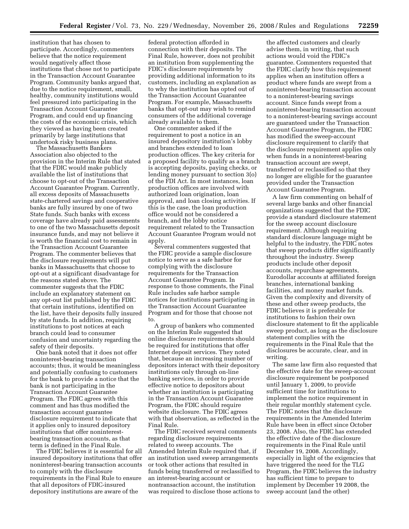institution that has chosen to participate. Accordingly, commenters believe that the notice requirement would negatively affect those institutions that chose not to participate in the Transaction Account Guarantee Program. Community banks argued that, due to the notice requirement, small, healthy, community institutions would feel pressured into participating in the Transaction Account Guarantee Program, and could end up financing the costs of the economic crisis, which they viewed as having been created primarily by large institutions that undertook risky business plans.

The Massachusetts Bankers Association also objected to the provision in the Interim Rule that stated that the FDIC would make publicly available the list of institutions that choose to opt-out of the Transaction Account Guarantee Program. Currently, all excess deposits of Massachusetts state-chartered savings and cooperative banks are fully insured by one of two State funds. Such banks with excess coverage have already paid assessments to one of the two Massachusetts deposit insurance funds, and may not believe it is worth the financial cost to remain in the Transaction Account Guarantee Program. The commenter believes that the disclosure requirements will put banks in Massachusetts that choose to opt-out at a significant disadvantage for the reasons stated above. The commenter suggests that the FDIC include an explanatory statement on any opt-out list published by the FDIC that certain institutions, identified on the list, have their deposits fully insured by state funds. In addition, requiring institutions to post notices at each branch could lead to consumer confusion and uncertainty regarding the safety of their deposits.

One bank noted that it does not offer noninterest-bearing transaction accounts; thus, it would be meaningless and potentially confusing to customers for the bank to provide a notice that the bank is not participating in the Transaction Account Guarantee Program. The FDIC agrees with this comment and has thus modified the transaction account guarantee disclosure requirement to indicate that it applies only to insured depository institutions that offer noninterestbearing transaction accounts, as that term is defined in the Final Rule.

The FDIC believes it is essential for all insured depository institutions that offer noninterest-bearing transaction accounts to comply with the disclosure requirements in the Final Rule to ensure that all depositors of FDIC-insured depository institutions are aware of the

federal protection afforded in connection with their deposits. The Final Rule, however, does not prohibit an institution from supplementing the FDIC's disclosure requirements by providing additional information to its customers, including an explanation as to why the institution has opted out of the Transaction Account Guarantee Program. For example, Massachusetts banks that opt-out may wish to remind consumers of the additional coverage already available to them.

One commenter asked if the requirement to post a notice in an insured depository institution's lobby and branches extended to loan production offices. The key criteria for a proposed facility to qualify as a branch is accepting deposits, paying checks, or lending money pursuant to section 3(o) of the FDI Act. In most instances, loan production offices are involved with authorized loan origination, loan approval, and loan closing activities. If this is the case, the loan production office would not be considered a branch, and the lobby notice requirement related to the Transaction Account Guarantee Program would not apply.

Several commenters suggested that the FDIC provide a sample disclosure notice to serve as a safe harbor for complying with the disclosure requirements for the Transaction Account Guarantee Program. In response to those comments, the Final Rule includes safe harbor sample notices for institutions participating in the Transaction Account Guarantee Program and for those that choose not to.

A group of bankers who commented on the Interim Rule suggested that online disclosure requirements should be required for institutions that offer Internet deposit services. They noted that, because an increasing number of depositors interact with their depository institutions only through on-line banking services, in order to provide effective notice to depositors about whether an institution is participating in the Transaction Account Guarantee Program, the FDIC should require website disclosure. The FDIC agrees with that observation, as reflected in the Final Rule.

The FDIC received several comments regarding disclosure requirements related to sweep accounts. The Amended Interim Rule required that, if an institution used sweep arrangements or took other actions that resulted in funds being transferred or reclassified to an interest-bearing account or nontransaction account, the institution was required to disclose those actions to

the affected customers and clearly advise them, in writing, that such actions would void the FDIC's guarantee. Commenters requested that the FDIC clarify how this requirement applies when an institution offers a product where funds are swept from a noninterest-bearing transaction account to a noninterest-bearing savings account. Since funds swept from a noninterest-bearing transaction account to a noninterest-bearing savings account are guaranteed under the Transaction Account Guarantee Program, the FDIC has modified the sweep-account disclosure requirement to clarify that the disclosure requirement applies only when funds in a noninterest-bearing transaction account are swept, transferred or reclassified so that they no longer are eligible for the guarantee provided under the Transaction Account Guarantee Program.

A law firm commenting on behalf of several large banks and other financial organizations suggested that the FDIC provide a standard disclosure statement for the sweep account disclosure requirement. Although requiring standard disclosure language might be helpful to the industry, the FDIC notes that sweep products differ significantly throughout the industry. Sweep products include other deposit accounts, repurchase agreements, Eurodollar accounts at affiliated foreign branches, international banking facilities, and money market funds. Given the complexity and diversity of these and other sweep products, the FDIC believes it is preferable for institutions to fashion their own disclosure statement to fit the applicable sweep product, as long as the disclosure statement complies with the requirements in the Final Rule that the disclosures be accurate, clear, and in writing.

The same law firm also requested that the effective date for the sweep-account disclosure requirement be postponed until January 1, 2009, to provide sufficient time for institutions to implement the notice requirement in their regular monthly statement cycle. The FDIC notes that the disclosure requirements in the Amended Interim Rule have been in effect since October 23, 2008. Also, the FDIC has extended the effective date of the disclosure requirements in the Final Rule until December 19, 2008. Accordingly, especially in light of the exigencies that have triggered the need for the TLG Program, the FDIC believes the industry has sufficient time to prepare to implement by December 19 2008, the sweep account (and the other)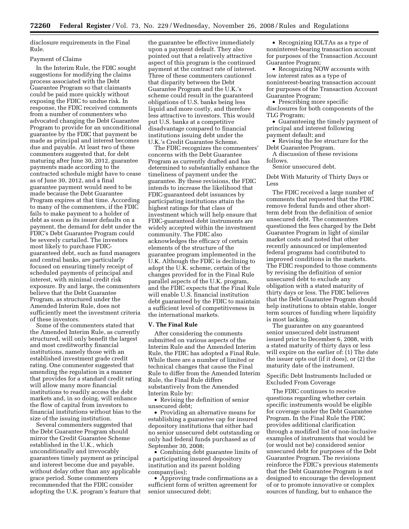disclosure requirements in the Final Rule.

## Payment of Claims

In the Interim Rule, the FDIC sought suggestions for modifying the claims process associated with the Debt Guarantee Program so that claimants could be paid more quickly without exposing the FDIC to undue risk. In response, the FDIC received comments from a number of commenters who advocated changing the Debt Guarantee Program to provide for an unconditional guarantee by the FDIC that payment be made as principal and interest becomes due and payable. At least two of these commenters suggested that, for debt maturing after June 30, 2012, guarantee payments made according to the contracted schedule might have to cease as of June 30, 2012, and a final guarantee payment would need to be made because the Debt Guarantee Program expires at that time. According to many of the commenters, if the FDIC fails to make payment to a holder of debt as soon as its issuer defaults on a payment, the demand for debt under the FDIC's Debt Guarantee Program could be severely curtailed. The investors most likely to purchase FDICguaranteed debt, such as fund managers and central banks, are particularly focused on ensuring timely receipt of scheduled payments of principal and interest, with minimal credit risk exposure. By and large, the commenters believe that the Debt Guarantee Program, as structured under the Amended Interim Rule, does not sufficiently meet the investment criteria of these investors.

Some of the commenters stated that the Amended Interim Rule, as currently structured, will only benefit the largest and most creditworthy financial institutions, namely those with an established investment grade credit rating. One commenter suggested that amending the regulation in a manner that provides for a standard credit rating will allow many more financial institutions to readily access the debt markets and, in so doing, will enhance the flow of capital from investors to financial institutions without bias to the size of the issuing institution.

Several commenters suggested that the Debt Guarantee Program should mirror the Credit Guarantee Scheme established in the U.K., which unconditionally and irrevocably guarantees timely payment as principal and interest become due and payable, without delay other than any applicable grace period. Some commenters recommended that the FDIC consider adopting the U.K. program's feature that the guarantee be effective immediately upon a payment default. They also pointed out that a relatively attractive aspect of this program is the continued payment at the contract rate of interest. Three of these commenters cautioned that disparity between the Debt Guarantee Program and the U.K.'s scheme could result in the guaranteed obligations of U.S. banks being less liquid and more costly, and therefore less attractive to investors. This would put U.S. banks at a competitive disadvantage compared to financial institutions issuing debt under the U.K.'s Credit Guarantee Scheme.

The FDIC recognizes the commenters' concerns with the Debt Guarantee Program as currently drafted and has determined to substantially enhance the timeliness of payment under the guarantee. By these revisions, the FDIC intends to increase the likelihood that FDIC-guaranteed debt issuances by participating institutions attain the highest ratings for that class of investment which will help ensure that FDIC-guaranteed debt instruments are widely accepted within the investment community. The FDIC also acknowledges the efficacy of certain elements of the structure of the guarantee program implemented in the U.K. Although the FDIC is declining to adopt the U.K. scheme, certain of the changes provided for in the Final Rule parallel aspects of the U.K. program, and the FDIC expects that the Final Rule will enable U.S. financial institution debt guaranteed by the FDIC to maintain a sufficient level of competitiveness in the international markets.

## **V. The Final Rule**

After considering the comments submitted on various aspects of the Interim Rule and the Amended Interim Rule, the FDIC has adopted a Final Rule. While there are a number of limited or technical changes that cause the Final Rule to differ from the Amended Interim Rule, the Final Rule differs substantively from the Amended Interim Rule by:

• Revising the definition of senior unsecured debt;

• Providing an alternative means for establishing a guarantee cap for insured depository institutions that either had no senior unsecured debt outstanding or only had federal funds purchased as of September 30, 2008;

• Combining debt guarantee limits of a participating insured depository institution and its parent holding company(ies);

• Approving trade confirmations as a sufficient form of written agreement for senior unsecured debt;

• Recognizing IOLTAs as a type of noninterest-bearing transaction account for purposes of the Transaction Account Guarantee Program;

• Recognizing NOW accounts with low interest rates as a type of noninterest-bearing transaction account for purposes of the Transaction Account Guarantee Program;

• Prescribing more specific disclosures for both components of the TLG Program;

• Guaranteeing the timely payment of principal and interest following payment default; and

• Revising the fee structure for the Debt Guarantee Program.

A discussion of these revisions follows.

Senior unsecured debt.

Debt With Maturity of Thirty Days or Less

The FDIC received a large number of comments that requested that the FDIC remove federal funds and other shortterm debt from the definition of senior unsecured debt. The commenters questioned the fees charged by the Debt Guarantee Program in light of similar market costs and noted that other recently announced or implemented federal programs had contributed to improved conditions in the markets. The FDIC responded to those comments by revising the definition of senior unsecured debt to exclude any obligation with a stated maturity of thirty days or less. The FDIC believes that the Debt Guarantee Program should help institutions to obtain stable, longer term sources of funding where liquidity is most lacking.

The guarantee on any guaranteed senior unsecured debt instrument issued prior to December 6, 2008, with a stated maturity of thirty days or less will expire on the earlier of: (1) The date the issuer opts out (if it does), or (2) the maturity date of the instrument.

Specific Debt Instruments Included or Excluded From Coverage

The FDIC continues to receive questions regarding whether certain specific instruments would be eligible for coverage under the Debt Guarantee Program. In the Final Rule the FDIC provides additional clarification through a modified list of non-inclusive examples of instruments that would be (or would not be) considered senior unsecured debt for purposes of the Debt Guarantee Program. The revisions reinforce the FDIC's previous statements that the Debt Guarantee Program is not designed to encourage the development of or to promote innovative or complex sources of funding, but to enhance the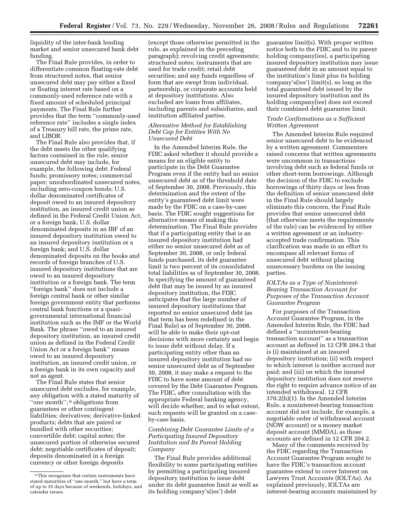liquidity of the inter-bank lending market and senior unsecured bank debt funding.

The Final Rule provides, in order to differentiate common floating-rate debt from structured notes, that senior unsecured debt may pay either a fixed or floating interest rate based on a commonly-used reference rate with a fixed amount of scheduled principal payments. The Final Rule further provides that the term ''commonly-used reference rate'' includes a single index of a Treasury bill rate, the prime rate, and LIBOR.

The Final Rule also provides that, if the debt meets the other qualifying factors contained in the rule, senior unsecured debt may include, for example, the following debt: Federal funds; promissory notes; commercial paper; unsubordinated unsecured notes, including zero-coupon bonds; U.S. dollar denominated certificates of deposit owed to an insured depository institution, an insured credit union as defined in the Federal Credit Union Act, or a foreign bank; U.S. dollar denominated deposits in an IBF of an insured depository institution owed to an insured depository institution or a foreign bank; and U.S. dollar denominated deposits on the books and records of foreign branches of U.S. insured depository institutions that are owed to an insured depository institution or a foreign bank. The term ''foreign bank'' does not include a foreign central bank or other similar foreign government entity that performs central bank functions or a quasigovernmental international financial institution such as the IMF or the World Bank. The phrase ''owed to an insured depository institution, an insured credit union as defined in the Federal Credit Union Act or a foreign bank'' means owed to an insured depository institution, an insured credit union, or a foreign bank in its own capacity and not as agent.

The Final Rule states that senior unsecured debt excludes, for example, any obligation with a stated maturity of "one month"; <sup>9</sup> obligations from guarantees or other contingent liabilities; derivatives; derivative-linked products; debts that are paired or bundled with other securities; convertible debt; capital notes; the unsecured portion of otherwise secured debt; negotiable certificates of deposit; deposits denominated in a foreign currency or other foreign deposits

(except those otherwise permitted in the rule, as explained in the preceding paragraph); revolving credit agreements; structured notes; instruments that are used for trade credit; retail debt securities; and any funds regardless of form that are swept from individual, partnership, or corporate accounts held at depository institutions. Also excluded are loans from affiliates, including parents and subsidiaries, and institution affiliated parties.

# *Alternative Method for Establishing Debt Cap for Entities With No Unsecured Debt*

In the Amended Interim Rule, the FDIC asked whether it should provide a means for an eligible entity to participate in the Debt Guarantee Program even if the entity had no senior unsecured debt as of the threshold date of September 30, 2008. Previously, this determination and the extent of the entity's guaranteed debt limit were made by the FDIC on a case-by-case basis. The FDIC sought suggestions for alternative means of making this determination. The Final Rule provides that if a participating entity that is an insured depository institution had either no senior unsecured debt as of September 30, 2008, or only federal funds purchased, its debt guarantee limit is two percent of its consolidated total liabilities as of September 30, 2008. In specifying the amount of guaranteed debt that may be issued by an insured depository institution, the FDIC anticipates that the large number of insured depository institutions that reported no senior unsecured debt (as that term has been redefined in the Final Rule) as of September 30, 2008, will be able to make their opt-out decisions with more certainty and begin to issue debt without delay. If a participating entity other than an insured depository institution had no senior unsecured debt as of September 30, 2008, it may make a request to the FDIC to have some amount of debt covered by the Debt Guarantee Program. The FDIC, after consultation with the appropriate Federal banking agency, will decide whether, and to what extent, such requests will be granted on a caseby-case basis.

# *Combining Debt Guarantee Limits of a Participating Insured Depository Institution and Its Parent Holding Company*

The Final Rule provides additional flexibility to some participating entities by permitting a participating insured depository institution to issue debt under its debt guarantee limit as well as its holding company's(ies') debt

guarantee limit(s). With proper written notice both to the FDIC and to its parent holding company(ies), a participating insured depository institution may issue guaranteed debt in an amount equal to the institution's limit plus its holding company's(ies') limit(s), so long as the total guaranteed debt issued by the insured depository institution and its holding company(ies) does not exceed their combined debt guarantee limit.

# *Trade Confirmations as a Sufficient Written Agreement*

The Amended Interim Rule required senior unsecured debt to be evidenced by a written agreement. Commenters raised concerns that written agreements were uncommon in transactions involving debt such as federal funds or other short-term borrowings. Although the decision of the FDIC to exclude borrowings of thirty days or less from the definition of senior unsecured debt in the Final Rule should largely eliminate this concern, the Final Rule provides that senior unsecured debt (that otherwise meets the requirements of the rule) can be evidenced by either a written agreement or an industryaccepted trade confirmation. This clarification was made in an effort to encompass all relevant forms of unsecured debt without placing unnecessary burdens on the issuing parties.

# *IOLTAs as a Type of Noninterest-Bearing Transaction Account for Purposes of the Transaction Account Guarantee Program*

For purposes of the Transaction Account Guarantee Program, in the Amended Interim Rule, the FDIC had defined a ''noninterest-bearing transaction account'' as a transaction account as defined in 12 CFR 204.2 that is (i) maintained at an insured depository institution; (ii) with respect to which interest is neither accrued nor paid; and (iii) on which the insured depository institution does not reserve the right to require advance notice of an intended withdrawal. 12 CFR 370.2(h)(1). In the Amended Interim Rule, a noninterest-bearing transaction account did not include, for example, a negotiable order of withdrawal account (NOW account) or a money market deposit account (MMDA), as those accounts are defined in 12 CFR 204.2.

Many of the comments received by the FDIC regarding the Transaction Account Guarantee Program sought to have the FDIC's transaction account guarantee extend to cover Interest on Lawyers Trust Accounts (IOLTAs). As explained previously, IOLTAs are interest-bearing accounts maintained by

<sup>9</sup>This recognizes that certain instruments have stated maturities of ''one month,'' but have a term of up to 35 days because of weekends, holidays, and calendar issues.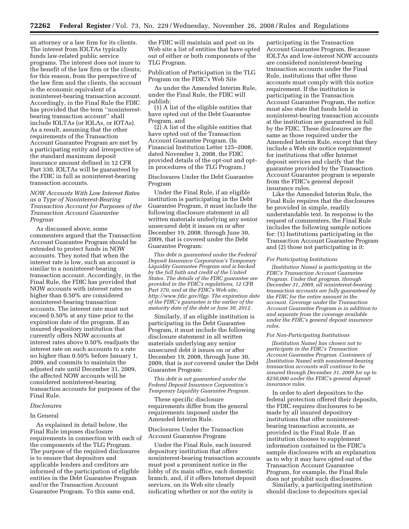an attorney or a law firm for its clients. The interest from IOLTAs typically funds law-related public service programs. The interest does not inure to the benefit of the law firm or the clients; for this reason, from the perspective of the law firm and the clients, the account is the economic equivalent of a noninterest-bearing transaction account. Accordingly, in the Final Rule the FDIC has provided that the term ''noninterestbearing transaction account'' shall include IOLTAs (or IOLAs, or IOTAs). As a result, assuming that the other requirements of the Transaction Account Guarantee Program are met by a participating entity and irrespective of the standard maximum deposit insurance amount defined in 12 CFR Part 330, IOLTAs will be guaranteed by the FDIC in full as noninterest-bearing transaction accounts.

# *NOW Accounts With Low Interest Rates as a Type of Noninterest-Bearing Transaction Account for Purposes of the Transaction Account Guarantee Program*

As discussed above, some commenters argued that the Transaction Account Guarantee Program should be extended to protect funds in NOW accounts. They noted that when the interest rate is low, such an account is similar to a noninterest-bearing transaction account. Accordingly, in the Final Rule, the FDIC has provided that NOW accounts with interest rates no higher than 0.50% are considered noninterest-bearing transaction accounts. The interest rate must not exceed 0.50% at any time prior to the expiration date of the program. If an insured depository institution that currently offers NOW accounts at interest rates above 0.50% readjusts the interest rate on such accounts to a rate no higher than 0.50% before January 1, 2009, and commits to maintain the adjusted rate until December 31, 2009, the affected NOW accounts will be considered noninterest-bearing transaction accounts for purposes of the Final Rule.

## *Disclosures*

## In General

As explained in detail below, the Final Rule imposes disclosure requirements in connection with each of the components of the TLG Program. The purpose of the required disclosures is to ensure that depositors and applicable lenders and creditors are informed of the participation of eligible entities in the Debt Guarantee Program and/or the Transaction Account Guarantee Program. To this same end,

the FDIC will maintain and post on its Web site a list of entities that have opted out of either or both components of the TLG Program.

Publication of Participation in the TLG Program on the FDIC's Web Site

As under the Amended Interim Rule, under the Final Rule, the FDIC will publish:

(1) A list of the eligible entities that have opted out of the Debt Guarantee Program, and

(2) A list of the eligible entities that have opted out of the Transaction Account Guarantee Program. (In Financial Institution Letter 125–2008, dated November 3, 2008, the FDIC provided details of the opt-out and optin procedures of the TLG Program.)

Disclosures Under the Debt Guarantee Program

Under the Final Rule, if an eligible institution is participating in the Debt Guarantee Program, it must include the following disclosure statement in all written materials underlying any senior unsecured debt it issues on or after December 19, 2008, through June 30, 2009, that is covered under the Debt Guarantee Program:

*This debt is guaranteed under the Federal Deposit Insurance Corporation's Temporary Liquidity Guarantee Program and is backed by the full faith and credit of the United States. The details of the FDIC guarantee are provided in the FDIC's regulations, 12 CFR Part 370, and at the FDIC's Web site, [http://www.fdic.gov/tlgp.](http://www.fdic.gov/tlgp) The expiration date of the FDIC's guarantee is the earlier of the maturity date of the debt or June 30, 2012.* 

Similarly, if an eligible institution is participating in the Debt Guarantee Program, it must include the following disclosure statement in all written materials underlying any senior unsecured debt it issues on or after December 19, 2008, through June 30, 2009, that is *not* covered under the Debt Guarantee Program:

*This debt is not guaranteed under the Federal Deposit Insurance Corporation's Temporary Liquidity Guarantee Program.* 

These specific disclosure requirements differ from the general requirements imposed under the Amended Interim Rule.

# Disclosures Under the Transaction Account Guarantee Program

Under the Final Rule, each insured depository institution that offers noninterest-bearing transaction accounts must post a prominent notice in the lobby of its main office, each domestic branch, and, if it offers Internet deposit services, on its Web site clearly indicating whether or not the entity is

participating in the Transaction Account Guarantee Program. Because IOLTAs and low-interest NOW accounts are considered noninterest-bearing transaction accounts under the Final Rule, institutions that offer these accounts must comply with this notice requirement. If the institution is participating in the Transaction Account Guarantee Program, the notice must also state that funds held in noninterest-bearing transaction accounts at the institution are guaranteed in full by the FDIC. These disclosures are the same as those required under the Amended Interim Rule, except that they include a Web site notice requirement for institutions that offer Internet deposit services and clarify that the guarantee provided by the Transaction Account Guarantee program is separate from the FDIC's general deposit insurance rules.

Like the Amended Interim Rule, the Final Rule requires that the disclosures be provided in simple, readily understandable text. In response to the request of commenters, the Final Rule includes the following sample notices for: (1) Institutions participating in the Transaction Account Guarantee Program and (2) those not participating in it:

#### *For Participating Institutions*

*[Institution Name] is participating in the FDIC's Transaction Account Guarantee Program. Under that program, through December 31, 2009, all noninterest-bearing transaction accounts are fully guaranteed by the FDIC for the entire amount in the account. Coverage under the Transaction Account Guarantee Program is in addition to and separate from the coverage available under the FDIC's general deposit insurance rules.* 

#### *For Non-Participating Institutions*

*[Institution Name] has chosen not to participate in the FDIC's Transaction Account Guarantee Program. Customers of [Institution Name] with noninterest-bearing transaction accounts will continue to be insured through December 31, 2009 for up to \$250,000 under the FDIC's general deposit insurance rules.* 

In order to alert depositors to the federal protection offered their deposits, the FDIC requires disclosures to be made by all insured depository institutions that offer noninterestbearing transaction accounts, as provided in the Final Rule. If an institution chooses to supplement information contained in the FDIC's sample disclosures with an explanation as to why it may have opted out of the Transaction Account Guarantee Program, for example, the Final Rule does not prohibit such disclosures.

Similarly, a participating institution should disclose to depositors special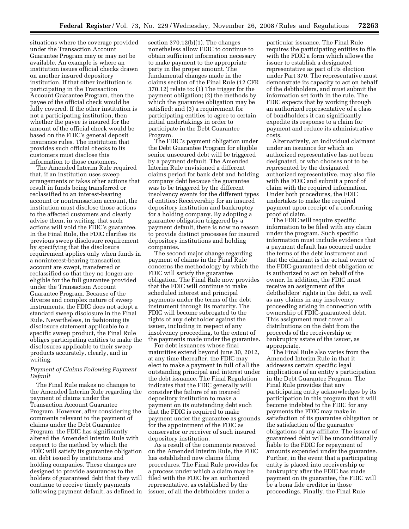situations where the coverage provided under the Transaction Account Guarantee Program may or may not be available. An example is where an institution issues official checks drawn on another insured depository institution. If that other institution is participating in the Transaction Account Guarantee Program, then the payee of the official check would be fully covered. If the other institution is not a participating institution, then whether the payee is insured for the amount of the official check would be based on the FDIC's general deposit insurance rules. The institution that provides such official checks to its customers must disclose this information to those customers.

The Amended Interim Rule required that, if an institution uses sweep arrangements or takes other actions that result in funds being transferred or reclassified to an interest-bearing account or nontransaction account, the institution must disclose those actions to the affected customers and clearly advise them, in writing, that such actions will void the FDIC's guarantee. In the Final Rule, the FDIC clarifies its previous sweep disclosure requirement by specifying that the disclosure requirement applies only when funds in a noninterest-bearing transaction account are swept, transferred or reclassified so that they no longer are eligible for the full guarantee provided under the Transaction Account Guarantee Program. Because of the diverse and complex nature of sweep instruments, the FDIC does not adopt a standard sweep disclosure in the Final Rule. Nevertheless, in fashioning its disclosure statement applicable to a specific sweep product, the Final Rule obliges participating entities to make the disclosures applicable to their sweep products accurately, clearly, and in writing.

# *Payment of Claims Following Payment Default*

The Final Rule makes no changes to the Amended Interim Rule regarding the payment of claims under the Transaction Account Guarantee Program. However, after considering the comments relevant to the payment of claims under the Debt Guarantee Program, the FDIC has significantly altered the Amended Interim Rule with respect to the method by which the FDIC will satisfy its guarantee obligation on debt issued by institutions and holding companies. These changes are designed to provide assurances to the holders of guaranteed debt that they will continue to receive timely payments following payment default, as defined in

section 370.12(b)(1). The changes nonetheless allow FDIC to continue to obtain sufficient information necessary to make payment to the appropriate party in the proper amount. The fundamental changes made in the claims section of the Final Rule (12 CFR 370.12) relate to: (1) The trigger for the payment obligation; (2) the methods by which the guarantee obligation may be satisfied; and (3) a requirement for participating entities to agree to certain initial undertakings in order to participate in the Debt Guarantee Program.

The FDIC's payment obligation under the Debt Guarantee Program for eligible senior unsecured debt will be triggered by a payment default. The Amended Interim Rule envisioned a different claims period for bank debt and holding company debt because the guarantee was to be triggered by the different insolvency events for the different types of entities: Receivership for an insured depository institution and bankruptcy for a holding company. By adopting a guarantee obligation triggered by a payment default, there is now no reason to provide distinct processes for insured depository institutions and holding companies.

The second major change regarding payment of claims in the Final Rule concerns the methodology by which the FDIC will satisfy the guarantee obligation. The Final Rule now provides that the FDIC will continue to make scheduled interest and principal payments under the terms of the debt instrument through its maturity. The FDIC will become subrogated to the rights of any debtholder against the issuer, including in respect of any insolvency proceeding, to the extent of the payments made under the guarantee.

For debt issuances whose final maturities extend beyond June 30, 2012, at any time thereafter, the FDIC may elect to make a payment in full of all the outstanding principal and interest under the debt issuance. The Final Regulation indicates that the FDIC generally will consider the failure of an insured depository institution to make a payment on its outstanding debt such that the FDIC is required to make payment under the guarantee as grounds for the appointment of the FDIC as conservator or receiver of such insured depository institution.

As a result of the comments received on the Amended Interim Rule, the FDIC has established new claims filing procedures. The Final Rule provides for a process under which a claim may be filed with the FDIC by an authorized representative, as established by the issuer, of all the debtholders under a

particular issuance. The Final Rule requires the participating entities to file with the FDIC a form which allows the issuer to establish a designated representative as part of its election under Part 370. The representative must demonstrate its capacity to act on behalf of the debtholders, and must submit the information set forth in the rule. The FDIC expects that by working through an authorized representative of a class of bondholders it can significantly expedite its response to a claim for payment and reduce its administrative costs.

Alternatively, an individual claimant under an issuance for which an authorized representative has not been designated, or who chooses not to be represented by the designated authorized representative, may also file with the FDIC and submit a proof of claim with the required information. Under both procedures, the FDIC undertakes to make the required payment upon receipt of a conforming proof of claim.

The FDIC will require specific information to be filed with any claim under the program. Such specific information must include evidence that a payment default has occurred under the terms of the debt instrument and that the claimant is the actual owner of the FDIC-guaranteed debt obligation or is authorized to act on behalf of the owner. In addition, the FDIC must receive an assignment of the debtholders' rights in the debt, as well as any claims in any insolvency proceeding arising in connection with ownership of FDIC-guaranteed debt. This assignment must cover all distributions on the debt from the proceeds of the receivership or bankruptcy estate of the issuer, as appropriate.

The Final Rule also varies from the Amended Interim Rule in that it addresses certain specific legal implications of an entity's participation in the Debt Guarantee Program. The Final Rule provides that any participating entity acknowledges by its participation in this program that it will become indebted to the FDIC for any payments the FDIC may make in satisfaction of its guarantee obligation or the satisfaction of the guarantee obligations of any affiliate. The issuer of guaranteed debt will be unconditionally liable to the FDIC for repayment of amounts expended under the guarantee. Further, in the event that a participating entity is placed into receivership or bankruptcy after the FDIC has made payment on its guarantee, the FDIC will be a bona fide creditor in those proceedings. Finally, the Final Rule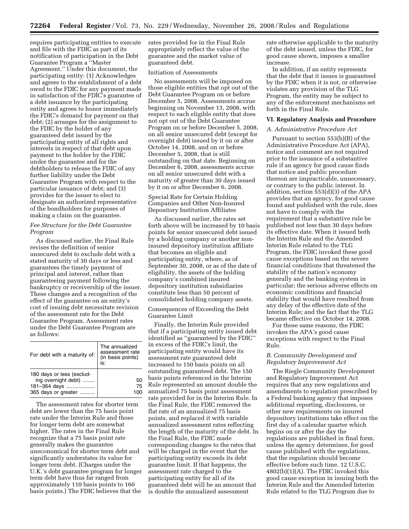requires participating entities to execute and file with the FDIC as part of its notification of participation in the Debt Guarantee Program a ''Master Agreement.'' Under this document, the participating entity: (1) Acknowledges and agrees to the establishment of a debt owed to the FDIC for any payment made in satisfaction of the FDIC's guarantee of a debt issuance by the participating entity and agrees to honor immediately the FDIC's demand for payment on that debt; (2) arranges for the assignment to the FDIC by the holder of any guaranteed debt issued by the participating entity of all rights and interests in respect of that debt upon payment to the holder by the FDIC under the guarantee and for the debtholders to release the FDIC of any further liability under the Debt Guarantee Program with respect to the particular issuance of debt; and (3) provides for the issuer to elect to designate an authorized representative of the bondholders for purposes of making a claim on the guarantee.

# *Fee Structure for the Debt Guarantee Program*

As discussed earlier, the Final Rule revises the definition of senior unsecured debt to exclude debt with a stated maturity of 30 days or less and guarantees the timely payment of principal and interest, rather than guaranteeing payment following the bankruptcy or receivership of the issuer. These changes and a recognition of the effect of the guarantee on an entity's cost of issuing debt necessitate revision of the assessment rate for the Debt Guarantee Program. Assessment rates under the Debt Guarantee Program are as follows:

| For debt with a maturity of:                                                            | The annualized<br>assessment rate<br>(in basis points)<br>IS: |
|-----------------------------------------------------------------------------------------|---------------------------------------------------------------|
| 180 days or less (exclud-<br>ing overnight debt)<br>181-364 days<br>365 days or greater | 50<br>75                                                      |

The assessment rates for shorter term debt are lower than the 75 basis point rate under the Interim Rule and those for longer term debt are somewhat higher. The rates in the Final Rule recognize that a 75 basis point rate generally makes the guarantee uneconomical for shorter term debt and significantly understates its value for longer term debt. (Charges under the U.K.'s debt guarantee program for longer term debt have thus far ranged from approximately 110 basis points to 160 basis points.) The FDIC believes that the

rates provided for in the Final Rule appropriately reflect the value of the guarantee and the market value of guaranteed debt.

#### Initiation of Assessments

No assessments will be imposed on those eligible entities that opt out of the Debt Guarantee Program on or before December 5, 2008. Assessments accrue beginning on November 13, 2008, with respect to each eligible entity that does not opt out of the Debt Guarantee Program on or before December 5, 2008, on all senior unsecured debt (except for overnight debt) issued by it on or after October 14, 2008, and on or before December 5, 2008, that is still outstanding on that date. Beginning on December 6, 2008, assessments accrue on all senior unsecured debt with a maturity of greater than 30 days issued by it on or after December 6, 2008.

Special Rate for Certain Holding Companies and Other Non-Insured Depository Institution Affiliates

As discussed earlier, the rates set forth above will be increased by 10 basis points for senior unsecured debt issued by a holding company or another noninsured depository institution affiliate that becomes an eligible and participating entity, where, as of September 30, 2008, or as of the date of eligibility, the assets of the holding company's combined insured depository institution subsidiaries constitute less than 50 percent of consolidated holding company assets.

Consequences of Exceeding the Debt Guarantee Limit

Finally, the Interim Rule provided that if a participating entity issued debt identified as ''guaranteed by the FDIC'' in excess of the FDIC's limit, the participating entity would have its assessment rate guaranteed debt increased to 150 basis points on all outstanding guaranteed debt. The 150 basis points referenced in the Interim Rule represented an amount double the annualized 75 basis point assessment rate provided for in the Interim Rule. In the Final Rule, the FDIC removed the flat rate of an annualized 75 basis points, and replaced it with variable annualized assessment rates reflecting the length of the maturity of the debt. In the Final Rule, the FDIC made corresponding changes to the rates that will be charged in the event that the participating entity exceeds its debt guarantee limit. If that happens, the assessment rate charged to the participating entity for all of its guaranteed debt will be an amount that is double the annualized assessment

rate otherwise applicable to the maturity of the debt issued, unless the FDIC, for good cause shown, imposes a smaller increase.

In addition, if an entity represents that the debt that it issues is guaranteed by the FDIC when it is not, or otherwise violates any provision of the TLG Program, the entity may be subject to any of the enforcement mechanisms set forth in the Final Rule.

#### **VI. Regulatory Analysis and Procedure**

# *A. Administrative Procedure Act*

Pursuant to section 553(b)(B) of the Administrative Procedure Act (APA), notice and comment are not required prior to the issuance of a substantive rule if an agency for good cause finds that notice and public procedure thereon are impracticable, unnecessary, or contrary to the public interest. In addition, section 553(d)(3) of the APA provides that an agency, for good cause found and published with the rule, does not have to comply with the requirement that a substantive rule be published not less than 30 days before its effective date. When it issued both the Interim Rule and the Amended Interim Rule related to the TLG Program, the FDIC invoked these good cause exceptions based on the severe financial conditions that threatened the stability of the nation's economy generally and the banking system in particular; the serious adverse effects on economic conditions and financial stability that would have resulted from any delay of the effective date of the Interim Rule; and the fact that the TLG became effective on October 14, 2008.

For these same reasons, the FDIC invokes the APA's good cause exceptions with respect to the Final Rule.

# *B. Community Development and Regulatory Improvement Act*

The Riegle Community Development and Regulatory Improvement Act requires that any new regulations and amendments to regulation prescribed by a Federal banking agency that imposes additional reporting, disclosures, or other new requirements on insured depository institutions take effect on the first day of a calendar quarter which begins on or after the day the regulations are published in final form, unless the agency determines, for good cause published with the regulations, that the regulation should become effective before such time. 12 U.S.C. 4802(b)(1)(A). The FDIC invoked this good cause exception in issuing both the Interim Rule and the Amended Interim Rule related to the TLG Program due to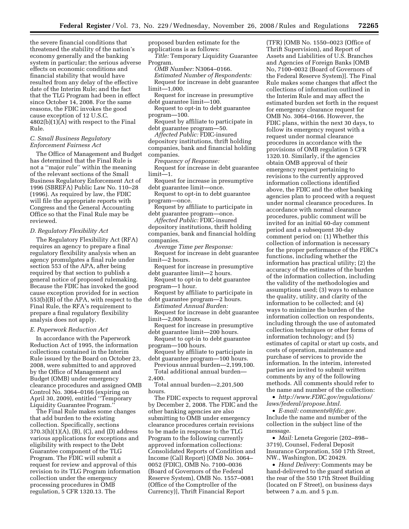the severe financial conditions that threatened the stability of the nation's economy generally and the banking system in particular; the serious adverse effects on economic conditions and financial stability that would have resulted from any delay of the effective date of the Interim Rule; and the fact that the TLG Program had been in effect since October 14, 2008. For the same reasons, the FDIC invokes the good cause exception of 12 U.S.C. 4802(b)(1)(A) with respect to the Final Rule.

# *C. Small Business Regulatory Enforcement Fairness Act*

The Office of Management and Budget has determined that the Final Rule is not a ''major rule'' within the meaning of the relevant sections of the Small Business Regulatory Enforcement Act of 1996 (SBREFA) Public Law No. 110–28 (1996). As required by law, the FDIC will file the appropriate reports with Congress and the General Accounting Office so that the Final Rule may be reviewed.

# *D. Regulatory Flexibility Act*

The Regulatory Flexibility Act (RFA) requires an agency to prepare a final regulatory flexibility analysis when an agency promulgates a final rule under section 553 of the APA, after being required by that section to publish a general notice of proposed rulemaking. Because the FDIC has invoked the good cause exception provided for in section 553(b)(B) of the APA, with respect to the Final Rule, the RFA's requirement to prepare a final regulatory flexibility analysis does not apply.

# *E. Paperwork Reduction Act*

In accordance with the Paperwork Reduction Act of 1995, the information collections contained in the Interim Rule issued by the Board on October 23, 2008, were submitted to and approved by the Office of Management and Budget (OMB) under emergency clearance procedures and assigned OMB Control No. 3064–0166 (expiring on April 30, 2009), entitled ''Temporary Liquidity Guarantee Program.''

The Final Rule makes some changes that add burden to the existing collection. Specifically, sections 370.3(h)(1)(A), (B), (C), and (D) address various applications for exceptions and eligibility with respect to the Debt Guarantee component of the TLG Program. The FDIC will submit a request for review and approval of this revision to its TLG Program information collection under the emergency processing procedures in OMB regulation, 5 CFR 1320.13. The

proposed burden estimate for the applications is as follows:

*Title:* Temporary Liquidity Guarantee Program.

*OMB Number:* N3064–0166. *Estimated Number of Respondents:*  Request for increase in debt guarantee limit—1,000.

Request for increase in presumptive debt guarantee limit—100.

Request to opt-in to debt guarantee program—100.

Request by affiliate to participate in debt guarantee program—50.

*Affected Public:* FDIC-insured depository institutions, thrift holding companies, bank and financial holding companies.

*Frequency of Response:* 

Request for increase in debt guarantee limit—1.

Request for increase in presumptive debt guarantee limit—once.

Request to opt-in to debt guarantee program—once.

Request by affiliate to participate in debt guarantee program—once.

*Affected Public:* FDIC-insured depository institutions, thrift holding companies, bank and financial holding companies.

*Average Time per Response:*  Request for increase in debt guarantee limit—2 hours.

Request for increase in presumptive debt guarantee limit—2 hours.

Request to opt-in to debt guarantee program—1 hour.

- Request by affiliate to participate in debt guarantee program—2 hours.
- *Estimated Annual Burden:*  Request for increase in debt guarantee limit—2,000 hours.

Request for increase in presumptive debt guarantee limit—200 hours.

Request to opt-in to debt guarantee program—100 hours.

Request by affiliate to participate in debt guarantee program—100 hours.

Previous annual burden—2,199,100. Total additional annual burden— 2,400.

Total annual burden—2,201,500 hours.

The FDIC expects to request approval by December 2, 2008. The FDIC and the other banking agencies are also submitting to OMB under emergency clearance procedures certain revisions to be made in response to the TLG Program to the following currently approved information collections: Consolidated Reports of Condition and Income (Call Report) [OMB No. 3064– 0052 (FDIC), OMB No. 7100–0036 (Board of Governors of the Federal Reserve System), OMB No. 1557–0081 (Office of the Comptroller of the Currency)], Thrift Financial Report

(TFR) [OMB No. 1550–0023 (Office of Thrift Supervision), and Report of Assets and Liabilities of U.S. Branches and Agencies of Foreign Banks [OMB No, 7100–0032 (Board of Governors of the Federal Reserve System)]. The Final Rule makes some changes that affect the collections of information outlined in the Interim Rule and may affect the estimated burden set forth in the request for emergency clearance request for OMB No. 3064–0166. However, the FDIC plans, within the next 30 days, to follow its emergency request with a request under normal clearance procedures in accordance with the provisions of OMB regulation 5 CFR 1320.10. Similarly, if the agencies obtain OMB approval of their emergency request pertaining to revisions to the currently approved information collections identified above, the FDIC and the other banking agencies plan to proceed with a request under normal clearance procedures. In accordance with normal clearance procedures, public comment will be invited for an initial 60-day comment period and a subsequent 30-day comment period on: (1) Whether this collection of information is necessary for the proper performance of the FDIC's functions, including whether the information has practical utility; (2) the accuracy of the estimates of the burden of the information collection, including the validity of the methodologies and assumptions used; (3) ways to enhance the quality, utility, and clarity of the information to be collected; and (4) ways to minimize the burden of the information collection on respondents, including through the use of automated collection techniques or other forms of information technology; and (5) estimates of capital or start up costs, and costs of operation, maintenance and purchase of services to provide the information. In the interim, interested parties are invited to submit written comments by any of the following methods. All comments should refer to the name and number of the collection:

• *[http://www.FDIC.gov/regulations/](http://www.FDIC.gov/regulations/laws/federal/propose.html)  laws/federal/propose.html.* 

• *E-mail: [comments@fdic.gov.](mailto:comments@fdic.gov)*  Include the name and number of the collection in the subject line of the message.

• *Mail:* Leneta Gregorie (202–898– 3719), Counsel, Federal Deposit Insurance Corporation, 550 17th Street, NW., Washington, DC 20429.

• *Hand Delivery:* Comments may be hand-delivered to the guard station at the rear of the 550 17th Street Building (located on F Street), on business days between 7 a.m. and 5 p.m.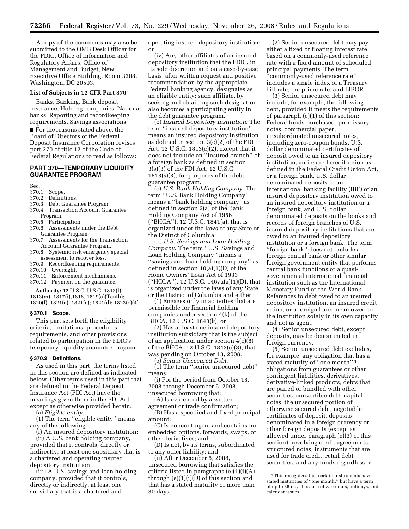A copy of the comments may also be submitted to the OMB Desk Officer for the FDIC, Office of Information and Regulatory Affairs, Office of Management and Budget, New Executive Office Building, Room 3208, Washington, DC 20503.

#### **List of Subjects in 12 CFR Part 370**

Banks, Banking, Bank deposit insurance, Holding companies, National banks, Reporting and recordkeeping requirements, Savings associations.

■ For the reasons stated above, the Board of Directors of the Federal Deposit Insurance Corporation revises part 370 of title 12 of the Code of Federal Regulations to read as follows:

# **PART 370—TEMPORARY LIQUIDITY GUARANTEE PROGRAM**

Sec.

#### 370.1 Scope.

- 370.2 Definitions.
- 370.3 Debt Guarantee Program.
- 370.4 Transaction Account Guarantee Program.
- 370.5 Participation.
- 370.6 Assessments under the Debt
- Guarantee Program. 370.7 Assessments for the Transaction
- Account Guarantee Program. 370.8 Systemic risk emergency special assessment to recover loss.
- 370.9 Recordkeeping requirements.
- 370.10 Oversight.
- 370.11 Enforcement mechanisms.
- 370.12 Payment on the guarantee.

**Authority:** 12 U.S.C. U.S.C. 1813(l), 1813(m), 1817(i),1818, 1819(a)(Tenth); 1820(f), 1821(a); 1821(c); 1821(d); 1823(c)(4).

#### **§ 370.1 Scope.**

This part sets forth the eligibility criteria, limitations, procedures, requirements, and other provisions related to participation in the FDIC's temporary liquidity guarantee program.

## **§ 370.2 Definitions.**

As used in this part, the terms listed in this section are defined as indicated below. Other terms used in this part that are defined in the Federal Deposit Insurance Act (FDI Act) have the meanings given them in the FDI Act except as otherwise provided herein.

(a) *Eligible entity*.

(1) The term ''eligible entity'' means any of the following:

(i) An insured depository institution; (ii) A U.S. bank holding company, provided that it controls, directly or indirectly, at least one subsidiary that is a chartered and operating insured

depository institution; (iii) A U.S. savings and loan holding company, provided that it controls,

directly or indirectly, at least one subsidiary that is a chartered and operating insured depository institution; or

(iv) Any other affiliates of an insured depository institution that the FDIC, in its sole discretion and on a case-by-case basis, after written request and positive recommendation by the appropriate Federal banking agency, designates as an eligible entity; such affiliate, by seeking and obtaining such designation, also becomes a participating entity in the debt guarantee program.

(b) *Insured Depository Institution*. The term ''insured depository institution'' means an insured depository institution as defined in section 3(c)(2) of the FDI Act, 12 U.S.C. 1813(c)(2), except that it does not include an ''insured branch'' of a foreign bank as defined in section 3(s)(3) of the FDI Act, 12 U.S.C. 1813(s)(3), for purposes of the debt guarantee program.

(c) *U.S. Bank Holding Company.* The term ''U.S. Bank Holding Company'' means a ''bank holding company'' as defined in section 2(a) of the Bank Holding Company Act of 1956 (''BHCA''), 12 U.S.C. 1841(a), that is organized under the laws of any State or the District of Columbia.

(d) *U.S. Savings and Loan Holding Company*. The term ''U.S. Savings and Loan Holding Company'' means a ''savings and loan holding company'' as defined in section 10(a)(1)(D) of the Home Owners' Loan Act of 1933 (''HOLA''), 12 U.S.C. 1467a(a)(1)(D), that is organized under the laws of any State or the District of Columbia and either:

(1) Engages only in activities that are permissible for financial holding companies under section 4(k) of the BHCA, 12 U.S.C. 1843(k), or

(2) Has at least one insured depository institution subsidiary that is the subject of an application under section 4(c)(8) of the BHCA, 12 U.S.C. 1843(c)(8), that was pending on October 13, 2008.

(e) *Senior Unsecured Debt*.

(1) The term ''senior unsecured debt'' means

(i) For the period from October 13, 2008 through December 5, 2008, unsecured borrowing that:

(A) Is evidenced by a written agreement or trade confirmation;

(B) Has a specified and fixed principal amount;

(C) Is noncontingent and contains no embedded options, forwards, swaps, or other derivatives; and

(D) Is not, by its terms, subordinated to any other liability; and

(ii) After December 5, 2008, unsecured borrowing that satisfies the criteria listed in paragraphs (e)(1)(i)(A) through  $(e)(1)(i)(\bar{D})$  of this section and that has a stated maturity of more than 30 days.

(2) Senior unsecured debt may pay either a fixed or floating interest rate based on a commonly-used reference rate with a fixed amount of scheduled principal payments. The term ''commonly-used reference rate'' includes a single index of a Treasury bill rate, the prime rate, and LIBOR.

(3) Senior unsecured debt may include, for example, the following debt, provided it meets the requirements of paragraph (e)(1) of this section: Federal funds purchased, promissory notes, commercial paper, unsubordinated unsecured notes, including zero-coupon bonds, U.S. dollar denominated certificates of deposit owed to an insured depository institution, an insured credit union as defined in the Federal Credit Union Act, or a foreign bank, U.S. dollar denominated deposits in an international banking facility (IBF) of an insured depository institution owed to an insured depository institution or a foreign bank, and U.S. dollar denominated deposits on the books and records of foreign branches of U.S. insured depository institutions that are owed to an insured depository institution or a foreign bank. The term ''foreign bank'' does not include a foreign central bank or other similar foreign government entity that performs central bank functions or a quasigovernmental international financial institution such as the International Monetary Fund or the World Bank. References to debt owed to an insured depository institution, an insured credit union, or a foreign bank mean owed to the institution solely in its own capacity and not as agent.

(4) Senior unsecured debt, except deposits, may be denominated in foreign currency.

(5) Senior unsecured debt excludes, for example, any obligation that has a stated maturity of "one month"<sup>1</sup>, obligations from guarantees or other contingent liabilities, derivatives, derivative-linked products, debts that are paired or bundled with other securities, convertible debt, capital notes, the unsecured portion of otherwise secured debt, negotiable certificates of deposit, deposits denominated in a foreign currency or other foreign deposits (except as allowed under paragraph (e)(3) of this section), revolving credit agreements, structured notes, instruments that are used for trade credit, retail debt securities, and any funds regardless of

<sup>1</sup>This recognizes that certain instruments have stated maturities of ''one month,'' but have a term of up to 35 days because of weekends, holidays, and calendar issues.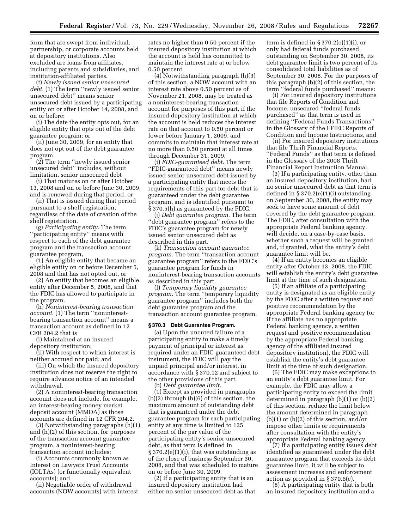form that are swept from individual, partnership, or corporate accounts held at depository institutions. Also excluded are loans from affiliates, including parents and subsidiaries, and institution-affiliated parties.

(f) *Newly issued senior unsecured debt*. (1) The term ''newly issued senior unsecured debt'' means senior unsecured debt issued by a participating entity on or after October 14, 2008, and on or before:

(i) The date the entity opts out, for an eligible entity that opts out of the debt guarantee program; or

(ii) June 30, 2009, for an entity that does not opt out of the debt guarantee program.

(2) The term ''newly issued senior unsecured debt'' includes, without limitation, senior unsecured debt

(i) That matures on or after October 13, 2008 and on or before June 30, 2009, and is renewed during that period, or

(ii) That is issued during that period pursuant to a shelf registration, regardless of the date of creation of the shelf registration.

(g) *Participating entity*. The term ''participating entity'' means with respect to each of the debt guarantee program and the transaction account guarantee program,

(1) An eligible entity that became an eligible entity on or before December 5, 2008 and that has not opted out, or

(2) An entity that becomes an eligible entity after December 5, 2008, and that the FDIC has allowed to participate in the program.

(h) *Noninterest-bearing transaction account.* (1) The term ''noninterestbearing transaction account'' means a transaction account as defined in 12 CFR 204.2 that is

(i) Maintained at an insured depository institution;

(ii) With respect to which interest is neither accrued nor paid; and

(iii) On which the insured depository institution does not reserve the right to require advance notice of an intended withdrawal.

(2) A noninterest-bearing transaction account does not include, for example, an interest-bearing money market deposit account (MMDA) as those accounts are defined in 12 CFR 204.2.

(3) Notwithstanding paragraphs (h)(1) and (h)(2) of this section, for purposes of the transaction account guarantee program, a noninterest-bearing transaction account includes:

(i) Accounts commonly known as Interest on Lawyers Trust Accounts (IOLTAs) (or functionally equivalent accounts); and

(ii) Negotiable order of withdrawal accounts (NOW accounts) with interest rates no higher than 0.50 percent if the insured depository institution at which the account is held has committed to maintain the interest rate at or below 0.50 percent.

(4) Notwithstanding paragraph (h)(3) of this section, a NOW account with an interest rate above 0.50 percent as of November 21, 2008, may be treated as a noninterest-bearing transaction account for purposes of this part, if the insured depository institution at which the account is held reduces the interest rate on that account to 0.50 percent or lower before January 1, 2009, and commits to maintain that interest rate at no more than 0.50 percent at all times through December 31, 2009.

(i) *FDIC-guaranteed debt*. The term ''FDIC-guaranteed debt'' means newly issued senior unsecured debt issued by a participating entity that meets the requirements of this part for debt that is guaranteed under the debt guarantee program, and is identified pursuant to § 370.5(h) as guaranteed by the FDIC.

(j) *Debt guarantee program*. The term "debt guarantee program" refers to the FDIC's guarantee program for newly issued senior unsecured debt as described in this part.

(k) *Transaction account guarantee program*. The term ''transaction account guarantee program'' refers to the FDIC's guarantee program for funds in noninterest-bearing transaction accounts as described in this part.

(l) *Temporary liquidity guarantee program*. The term ''temporary liquidity guarantee program'' includes both the debt guarantee program and the transaction account guarantee program.

#### **§ 370.3 Debt Guarantee Program.**

(a) Upon the uncured failure of a participating entity to make a timely payment of principal or interest as required under an FDIC-guaranteed debt instrument, the FDIC will pay the unpaid principal and/or interest, in accordance with § 370.12 and subject to the other provisions of this part.

(b) *Debt guarantee limit*.

(1) Except as provided in paragraphs (b)(2) through (b)(6) of this section, the maximum amount of outstanding debt that is guaranteed under the debt guarantee program for each participating entity at any time is limited to 125 percent of the par value of the participating entity's senior unsecured debt, as that term is defined in  $§ 370.2(e)(1)(i)$ , that was outstanding as of the close of business September 30, 2008, and that was scheduled to mature on or before June 30, 2009.

(2) If a participating entity that is an insured depository institution had either no senior unsecured debt as that term is defined in  $\S 370.2(e)(1)(i)$ , or only had federal funds purchased, outstanding on September 30, 2008, its debt guarantee limit is two percent of its consolidated total liabilities as of September 30, 2008. For the purposes of this paragraph (b)(2) of this section, the term ''federal funds purchased'' means:

(i) For insured depository institutions that file Reports of Condition and Income, unsecured ''federal funds purchased'' as that term is used in defining ''Federal Funds Transactions'' in the Glossary of the FFIEC Reports of Condition and Income Instructions, and

(ii) For insured depository institutions that file Thrift Financial Reports, ''Federal Funds'' as that term is defined in the Glossary of the 2008 Thrift Financial Report Instruction Manual.

(3) If a participating entity, other than an insured depository institution, had no senior unsecured debt as that term is defined in § 370.2(e)(1)(i) outstanding on September 30, 2008, the entity may seek to have some amount of debt covered by the debt guarantee program. The FDIC, after consultation with the appropriate Federal banking agency, will decide, on a case-by-case basis, whether such a request will be granted and, if granted, what the entity's debt guarantee limit will be.

(4) If an entity becomes an eligible entity after October 13, 2008, the FDIC will establish the entity's debt guarantee limit at the time of such designation.

(5) If an affiliate of a participating entity is designated as an eligible entity by the FDIC after a written request and positive recommendation by the appropriate Federal banking agency (or if the affiliate has no appropriate Federal banking agency, a written request and positive recommendation by the appropriate Federal banking agency of the affiliated insured depository institution), the FDIC will establish the entity's debt guarantee limit at the time of such designation.

(6) The FDIC may make exceptions to an entity's debt guarantee limit. For example, the FDIC may allow a participating entity to exceed the limit determined in paragraph (b)(1) or (b)(2) of this section, reduce the limit below the amount determined in paragraph (b)(1) or (b)(2) of this section, and/or impose other limits or requirements after consultation with the entity's appropriate Federal banking agency.

(7) If a participating entity issues debt identified as guaranteed under the debt guarantee program that exceeds its debt guarantee limit, it will be subject to assessment increases and enforcement action as provided in § 370.6(e).

(8) A participating entity that is both an insured depository institution and a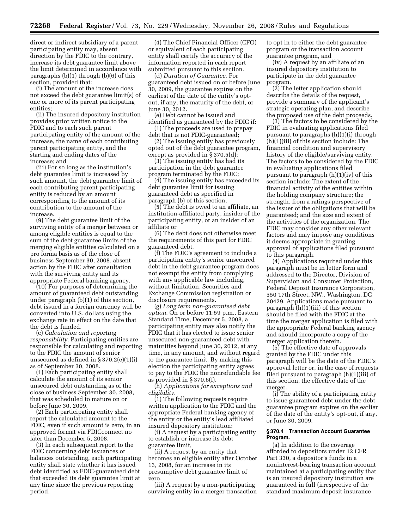direct or indirect subsidiary of a parent participating entity may, absent direction by the FDIC to the contrary, increase its debt guarantee limit above the limit determined in accordance with paragraphs (b)(1) through (b)(6) of this section, provided that:

(i) The amount of the increase does not exceed the debt guarantee limit(s) of one or more of its parent participating entities;

(ii) The insured depository institution provides prior written notice to the FDIC and to each such parent participating entity of the amount of the increase, the name of each contributing parent participating entity, and the starting and ending dates of the increase; and

(iii) For so long as the institution's debt guarantee limit is increased by such amount, the debt guarantee limit of each contributing parent participating entity is reduced by an amount corresponding to the amount of its contribution to the amount of the increase.

(9) The debt guarantee limit of the surviving entity of a merger between or among eligible entities is equal to the sum of the debt guarantee limits of the merging eligible entities calculated on a pro forma basis as of the close of business September 30, 2008, absent action by the FDIC after consultation with the surviving entity and its appropriate Federal banking agency.

(10) For purposes of determining the amount of guaranteed debt outstanding under paragraph (b)(1) of this section, debt issued in a foreign currency will be converted into U.S. dollars using the exchange rate in effect on the date that the debt is funded.

(c) *Calculation and reporting responsibility*. Participating entities are responsible for calculating and reporting to the FDIC the amount of senior unsecured as defined in  $\S 370.2(e)(1)(i)$ as of September 30, 2008.

(1) Each participating entity shall calculate the amount of its senior unsecured debt outstanding as of the close of business September 30, 2008, that was scheduled to mature on or before June 30, 2009.

(2) Each participating entity shall report the calculated amount to the FDIC, even if such amount is zero, in an approved format via FDICconnect no later than December 5, 2008.

(3) In each subsequent report to the FDIC concerning debt issuances or balances outstanding, each participating entity shall state whether it has issued debt identified as FDIC-guaranteed debt that exceeded its debt guarantee limit at any time since the previous reporting period.

(4) The Chief Financial Officer (CFO) or equivalent of each participating entity shall certify the accuracy of the information reported in each report submitted pursuant to this section.

(d) *Duration of Guarantee*. For guaranteed debt issued on or before June 30, 2009, the guarantee expires on the earliest of the date of the entity's optout, if any, the maturity of the debt, or June 30, 2012.

(e) Debt cannot be issued and identified as guaranteed by the FDIC if:

(1) The proceeds are used to prepay debt that is not FDIC-guaranteed;

(2) The issuing entity has previously opted out of the debt guarantee program, except as provided in § 370.5(d);

(3) The issuing entity has had its participation in the debt guarantee program terminated by the FDIC;

(4) The issuing entity has exceeded its debt guarantee limit for issuing guaranteed debt as specified in paragraph (b) of this section,

(5) The debt is owed to an affiliate, an institution-affiliated party, insider of the participating entity, or an insider of an affiliate or

(6) The debt does not otherwise meet the requirements of this part for FDIC guaranteed debt.

(f) The FDIC's agreement to include a participating entity's senior unsecured debt in the debt guarantee program does not exempt the entity from complying with any applicable law including, without limitation, Securities and Exchange Commission registration or disclosure requirements.

(g) *Long term non-guaranteed debt option*. On or before 11:59 p.m., Eastern Standard Time, December 5, 2008, a participating entity may also notify the FDIC that it has elected to issue senior unsecured non-guaranteed debt with maturities beyond June 30, 2012, at any time, in any amount, and without regard to the guarantee limit. By making this election the participating entity agrees to pay to the FDIC the nonrefundable fee as provided in § 370.6(f).

(h) *Applications for exceptions and eligibility*.

(1) The following requests require written application to the FDIC and the appropriate Federal banking agency of the entity or the entity's lead affiliated insured depository institution:

(i) A request by a participating entity to establish or increase its debt guarantee limit,

(ii) A request by an entity that becomes an eligible entity after October 13, 2008, for an increase in its presumptive debt guarantee limit of zero,

(iii) A request by a non-participating surviving entity in a merger transaction to opt in to either the debt guarantee program or the transaction account guarantee program, and

(iv) A request by an affiliate of an insured depository institution to participate in the debt guarantee program.

(2) The letter application should describe the details of the request, provide a summary of the applicant's strategic operating plan, and describe the proposed use of the debt proceeds.

(3) The factors to be considered by the FDIC in evaluating applications filed pursuant to paragraphs (h)(1)(i) through (h)(1)(iii) of this section include: The financial condition and supervisory history of the eligible/surviving entity. The factors to be considered by the FDIC in evaluating applications filed pursuant to paragraph (h)(1)(iv) of this section include: The extent of the financial activity of the entities within the holding company structure; the strength, from a ratings perspective of the issuer of the obligations that will be guaranteed; and the size and extent of the activities of the organization. The FDIC may consider any other relevant factors and may impose any conditions it deems appropriate in granting approval of applications filed pursuant to this paragraph.

(4) Applications required under this paragraph must be in letter form and addressed to the Director, Division of Supervision and Consumer Protection, Federal Deposit Insurance Corporation, 550 17th Street, NW., Washington, DC 20429. Applications made pursuant to paragraph (h)(1)(iii) of this section should be filed with the FDIC at the time the merger application is filed with the appropriate Federal banking agency and should incorporate a copy of the merger application therein.

(5) The effective date of approvals granted by the FDIC under this paragraph will be the date of the FDIC's approval letter or, in the case of requests filed pursuant to paragraph (h)(1)(iii) of this section, the effective date of the merger.

(i) The ability of a participating entity to issue guaranteed debt under the debt guarantee program expires on the earlier of the date of the entity's opt-out, if any, or June 30, 2009.

#### **§ 370.4 Transaction Account Guarantee Program.**

(a) In addition to the coverage afforded to depositors under 12 CFR Part 330, a depositor's funds in a noninterest-bearing transaction account maintained at a participating entity that is an insured depository institution are guaranteed in full (irrespective of the standard maximum deposit insurance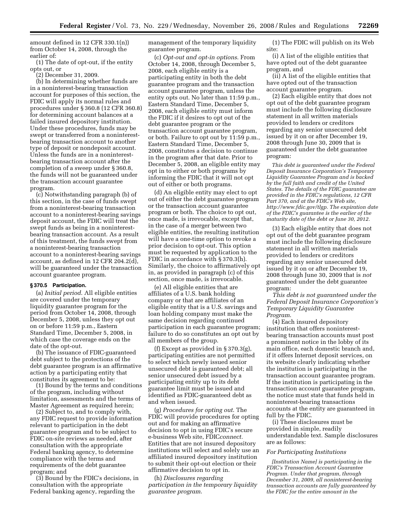amount defined in 12 CFR 330.1(n)) from October 14, 2008, through the earlier of:

(1) The date of opt-out, if the entity opts out, or

(2) December 31, 2009.

(b) In determining whether funds are in a noninterest-bearing transaction account for purposes of this section, the FDIC will apply its normal rules and procedures under § 360.8 (12 CFR 360.8) for determining account balances at a failed insured depository institution. Under these procedures, funds may be swept or transferred from a noninterestbearing transaction account to another type of deposit or nondeposit account. Unless the funds are in a noninterestbearing transaction account after the completion of a sweep under § 360.8, the funds will not be guaranteed under the transaction account guarantee program.

(c) Notwithstanding paragraph (b) of this section, in the case of funds swept from a noninterest-bearing transaction account to a noninterest-bearing savings deposit account, the FDIC will treat the swept funds as being in a noninterestbearing transaction account. As a result of this treatment, the funds swept from a noninterest-bearing transaction account to a noninterest-bearing savings account, as defined in 12 CFR 204.2(d), will be guaranteed under the transaction account guarantee program.

# **§ 370.5 Participation.**

(a) *Initial period*. All eligible entities are covered under the temporary liquidity guarantee program for the period from October 14, 2008, through December 5, 2008, unless they opt out on or before 11:59 p.m., Eastern Standard Time, December 5, 2008, in which case the coverage ends on the date of the opt-out.

(b) The issuance of FDIC-guaranteed debt subject to the protections of the debt guarantee program is an affirmative action by a participating entity that constitutes its agreement to be:

(1) Bound by the terms and conditions of the program, including without limitation, assessments and the terms of Master Agreement as required herein;

(2) Subject to, and to comply with, any FDIC request to provide information relevant to participation in the debt guarantee program and to be subject to FDIC on-site reviews as needed, after consultation with the appropriate Federal banking agency, to determine compliance with the terms and requirements of the debt guarantee program; and

(3) Bound by the FDIC's decisions, in consultation with the appropriate Federal banking agency, regarding the

management of the temporary liquidity guarantee program.

(c) *Opt-out and opt-in options*. From October 14, 2008, through December 5, 2008, each eligible entity is a participating entity in both the debt guarantee program and the transaction account guarantee program, unless the entity opts out. No later than 11:59 p.m., Eastern Standard Time, December 5, 2008, each eligible entity must inform the FDIC if it desires to opt out of the debt guarantee program or the transaction account guarantee program, or both. Failure to opt out by 11:59 p.m., Eastern Standard Time, December 5, 2008, constitutes a decision to continue in the program after that date. Prior to December 5, 2008, an eligible entity may opt in to either or both programs by informing the FDIC that it will not opt out of either or both programs.

(d) An eligible entity may elect to opt out of either the debt guarantee program or the transaction account guarantee program or both. The choice to opt out, once made, is irrevocable, except that, in the case of a merger between two eligible entities, the resulting institution will have a one-time option to revoke a prior decision to opt-out. This option must be requested by application to the FDIC in accordance with § 370.3(h). Similarly, the choice to affirmatively opt in, as provided in paragraph (c) of this section, once made, is irrevocable.

(e) All eligible entities that are affiliates of a U.S. bank holding company or that are affiliates of an eligible entity that is a U.S. savings and loan holding company must make the same decision regarding continued participation in each guarantee program; failure to do so constitutes an opt out by all members of the group.

(f) Except as provided in § 370.3(g), participating entities are not permitted to select which newly issued senior unsecured debt is guaranteed debt; all senior unsecured debt issued by a participating entity up to its debt guarantee limit must be issued and identified as FDIC-guaranteed debt as and when issued.

(g) *Procedures for opting out*. The FDIC will provide procedures for opting out and for making an affirmative decision to opt in using FDIC's secure e-business Web site, FDIC*connect.*  Entities that are not insured depository institutions will select and solely use an affiliated insured depository institution to submit their opt-out election or their affirmative decision to opt in.

(h) *Disclosures regarding participation in the temporary liquidity guarantee program*.

(1) The FDIC will publish on its Web site:

(i) A list of the eligible entities that have opted out of the debt guarantee program, and

(ii) A list of the eligible entities that have opted out of the transaction account guarantee program.

(2) Each eligible entity that does not opt out of the debt guarantee program must include the following disclosure statement in all written materials provided to lenders or creditors regarding any senior unsecured debt issued by it on or after December 19, 2008 through June 30, 2009 that is guaranteed under the debt guarantee program:

*This debt is guaranteed under the Federal Deposit Insurance Corporation's Temporary Liquidity Guarantee Program and is backed by the full faith and credit of the United States. The details of the FDIC guarantee are provided in the FDIC's regulations, 12 CFR Part 370, and at the FDIC's Web site, [http://www.fdic.gov/tlgp.](http://www.fdic.gov/tlgp) The expiration date of the FDIC's guarantee is the earlier of the maturity date of the debt or June 30, 2012*.

(3) Each eligible entity that does not opt out of the debt guarantee program must include the following disclosure statement in all written materials provided to lenders or creditors regarding any senior unsecured debt issued by it on or after December 19, 2008 through June 30, 2009 that is *not*  guaranteed under the debt guarantee program:

*This debt is not guaranteed under the Federal Deposit Insurance Corporation's Temporary Liquidity Guarantee Program*.

(4) Each insured depository institution that offers noninterestbearing transaction accounts must post a prominent notice in the lobby of its main office, each domestic branch and, if it offers Internet deposit services, on its website clearly indicating whether the institution is participating in the transaction account guarantee program. If the institution is participating in the transaction account guarantee program, the notice must state that funds held in noninterest-bearing transactions accounts at the entity are guaranteed in full by the FDIC.

(i) These disclosures must be provided in simple, readily understandable text. Sample disclosures are as follows:

#### *For Participating Institutions*

*[Institution Name] is participating in the FDIC's Transaction Account Guarantee Program. Under that program, through December 31, 2009, all noninterest-bearing transaction accounts are fully guaranteed by the FDIC for the entire amount in the*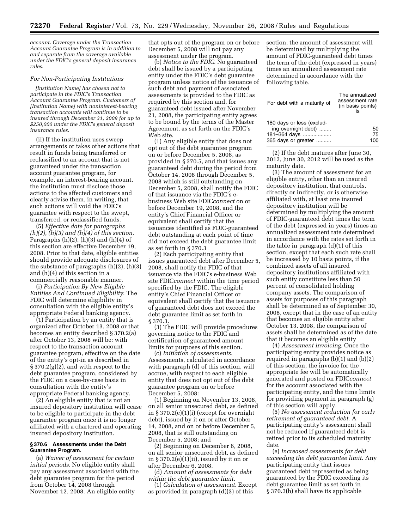*account. Coverage under the Transaction Account Guarantee Program is in addition to and separate from the coverage available under the FDIC's general deposit insurance rules*.

#### *For Non-Participating Institutions*

*[Institution Name] has chosen not to participate in the FDIC's Transaction Account Guarantee Program. Customers of [Institution Name] with noninterest-bearing transaction accounts will continue to be insured through December 31, 2009 for up to \$250,000 under the FDIC's general deposit insurance rules*.

(ii) If the institution uses sweep arrangements or takes other actions that result in funds being transferred or reclassified to an account that is not guaranteed under the transaction account guarantee program, for example, an interest-bearing account, the institution must disclose those actions to the affected customers and clearly advise them, in writing, that such actions will void the FDIC's guarantee with respect to the swept, transferred, or reclassified funds.

(5) *Effective date for paragraphs (h)(2), (h)(3) and (h)(4) of this section*. Paragraphs  $(h)(2)$ ,  $(h)(3)$  and  $(h)(4)$  of this section are effective December 19, 2008. Prior to that date, eligible entities should provide adequate disclosures of the substance of paragraphs (h)(2), (h)(3) and (h)(4) of this section in a commercially reasonable manner.

(i) *Participation By New Eligible Entities And Continued Eligibility*. The FDIC will determine eligibility in consultation with the eligible entity's appropriate Federal banking agency.

(1) Participation by an entity that is organized after October 13, 2008 or that becomes an entity described § 370.2(a) after October 13, 2008 will be: with respect to the transaction account guarantee program, effective on the date of the entity's opt-in as described in  $\S 370.2(g)(2)$ , and with respect to the debt guarantee program, considered by the FDIC on a case-by-case basis in consultation with the entity's appropriate Federal banking agency.

(2) An eligible entity that is not an insured depository institution will cease to be eligible to participate in the debt guarantee program once it is no longer affiliated with a chartered and operating insured depository institution.

#### **§ 370.6 Assessments under the Debt Guarantee Program.**

(a) *Waiver of assessment for certain initial periods*. No eligible entity shall pay any assessment associated with the debt guarantee program for the period from October 14, 2008 through November 12, 2008. An eligible entity

that opts out of the program on or before December 5, 2008 will not pay any assessment under the program.

(b) *Notice to the FDIC*. No guaranteed debt shall be issued by a participating entity under the FDIC's debt guarantee program unless notice of the issuance of such debt and payment of associated assessments is provided to the FDIC as required by this section and, for guaranteed debt issued after November 21, 2008, the participating entity agrees to be bound by the terms of the Master Agreement, as set forth on the FDIC's Web site.

(1) Any eligible entity that does not opt out of the debt guarantee program on or before December 5, 2008, as provided in § 370.5, and that issues any guaranteed debt during the period from October 14, 2008 through December 5, 2008 which is still outstanding on December 5, 2008, shall notify the FDIC of that issuance via the FDIC's ebusiness Web site FDIC*connect* on or before December 19, 2008, and the entity's Chief Financial Officer or equivalent shall certify that the issuances identified as FDIC-guaranteed debt outstanding at each point of time did not exceed the debt guarantee limit as set forth in § 370.3

(2) Each participating entity that issues guaranteed debt after December 5, 2008, shall notify the FDIC of that issuance via the FDIC's e-business Web site FDIC*connect* within the time period specified by the FDIC. The eligible entity's Chief Financial Officer or equivalent shall certify that the issuance of guaranteed debt does not exceed the debt guarantee limit as set forth in § 370.3.

(3) The FDIC will provide procedures governing notice to the FDIC and certification of guaranteed amount limits for purposes of this section.

(c) *Initiation of assessments*. Assessments, calculated in accordance with paragraph (d) of this section, will accrue, with respect to each eligible entity that does not opt out of the debt guarantee program on or before December 5, 2008:

(1) Beginning on November 13, 2008, on all senior unsecured debt, as defined in § 370.2(e)(1)(i) (except for overnight debt), issued by it on or after October 14, 2008, and on or before December 5, 2008, that is still outstanding on December 5, 2008; and

(2) Beginning on December 6, 2008, on all senior unsecured debt, as defined in § 370.2(e)(1)(ii), issued by it on or after December 6, 2008.

(d) *Amount of assessments for debt within the debt guarantee limit*.

(1) *Calculation of assessment*. Except as provided in paragraph (d)(3) of this

section, the amount of assessment will be determined by multiplying the amount of FDIC-guaranteed debt times the term of the debt (expressed in years) times an annualized assessment rate determined in accordance with the following table.

| For debt with a maturity of                                                             | The annualized<br>assessment rate<br>(in basis points)<br>İ۹ |
|-----------------------------------------------------------------------------------------|--------------------------------------------------------------|
| 180 days or less (exclud-<br>ing overnight debt)<br>181-364 days<br>365 days or greater | 50<br>75                                                     |

(2) If the debt matures after June 30, 2012, June 30, 2012 will be used as the maturity date.

(3) The amount of assessment for an eligible entity, other than an insured depository institution, that controls, directly or indirectly, or is otherwise affiliated with, at least one insured depository institution will be determined by multiplying the amount of FDIC-guaranteed debt times the term of the debt (expressed in years) times an annualized assessment rate determined in accordance with the rates set forth in the table in paragraph (d)(1) of this section, except that each such rate shall be increased by 10 basis points, if the combined assets of all insured depository institutions affiliated with such entity constitute less than 50 percent of consolidated holding company assets. The comparison of assets for purposes of this paragraph shall be determined as of September 30, 2008, except that in the case of an entity that becomes an eligible entity after October 13, 2008, the comparison of assets shall be determined as of the date that it becomes an eligible entity

(4) *Assessment invoicing*. Once the participating entity provides notice as required in paragraphs (b)(1) and (b)(2) of this section, the invoice for the appropriate fee will be automatically generated and posted on FDIC*connect*  for the account associated with the participating entity, and the time limits for providing payment in paragraph (g) of this section will apply.

(5) *No assessment reduction for early retirement of guaranteed debt*. A participating entity's assessment shall not be reduced if guaranteed debt is retired prior to its scheduled maturity date.

(e) *Increased assessments for debt exceeding the debt guarantee limit*. Any participating entity that issues guaranteed debt represented as being guaranteed by the FDIC exceeding its debt guarantee limit as set forth in § 370.3(b) shall have its applicable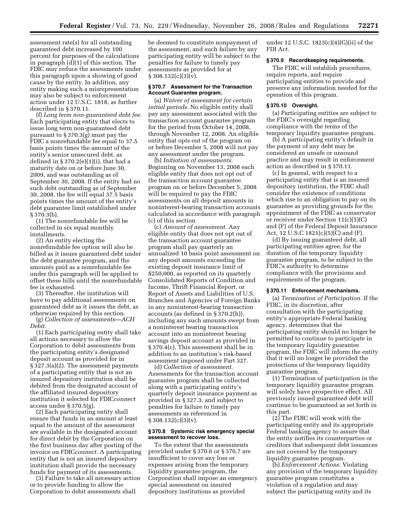assessment rate(s) for all outstanding guaranteed debt increased by 100 percent for purposes of the calculations in paragraph (d)(1) of this section. The FDIC may reduce the assessments under this paragraph upon a showing of good cause by the entity. In addition, any entity making such a misrepresentation may also be subject to enforcement action under 12 U.S.C. 1818, as further described in § 370.11.

(f) *Long term non-guaranteed debt fee*. Each participating entity that elects to issue long term non-guaranteed debt pursuant to § 370.3(g) must pay the FDIC a nonrefundable fee equal to 37.5 basis points times the amount of the entity's senior unsecured debt, as defined in § 370.2(e)(1)(i), that had a maturity date on or before June 30, 2009, and was outstanding as of September 30, 2008. If the entity had no such debt outstanding as of September 30, 2008, the fee will equal 37.5 basis points times the amount of the entity's debt guarantee limit established under § 370.3(b).

(1) The nonrefundable fee will be collected in six equal monthly installments.

(2) An entity electing the nonrefundable fee option will also be billed as it issues guaranteed debt under the debt guarantee program, and the amounts paid as a nonrefundable fee under this paragraph will be applied to offset these bills until the nonrefundable fee is exhausted.

(3) Thereafter, the institution will have to pay additional assessments on guaranteed debt as it issues the debt, as otherwise required by this section.

(g) *Collection of assessments—ACH Debit*.

(1) Each participating entity shall take all actions necessary to allow the Corporation to debit assessments from the participating entity's designated deposit account as provided for in § 327.3(a)(2). The assessment payments of a participating entity that is not an insured depository institution shall be debited from the designated account of the affiliated insured depository institution it selected for FDIC*connect*  access under § 370.5(g).

(2) Each participating entity shall ensure that funds in an amount at least equal to the amount of the assessment are available in the designated account for direct debit by the Corporation on the first business day after posting of the invoice on FDIC*connect*. A participating entity that is not an insured depository institution shall provide the necessary funds for payment of its assessments.

(3) Failure to take all necessary action or to provide funding to allow the Corporation to debit assessments shall

be deemed to constitute nonpayment of the assessment, and such failure by any participating entity will be subject to the penalties for failure to timely pay assessments as provided for at  $§ 308.132(c)(3)(v).$ 

#### **§ 370.7 Assessment for the Transaction Account Guarantee program.**

(a) *Waiver of assessment for certain initial periods*. No eligible entity shall pay any assessment associated with the transaction account guarantee program for the period from October 14, 2008, through November 12, 2008. An eligible entity that opts out of the program on or before December 5, 2008 will not pay any assessment under the program.

(b) *Initiation of assessments*. Beginning on November 13, 2008 each eligible entity that does not opt out of the transaction account guarantee program on or before December 5, 2008 will be required to pay the FDIC assessments on all deposit amounts in noninterest-bearing transaction accounts calculated in accordance with paragraph (c) of this section

(c) *Amount of assessment*. Any eligible entity that does not opt out of the transaction account guarantee program shall pay quarterly an annualized 10 basis point assessment on any deposit amounts exceeding the existing deposit insurance limit of \$250,000, as reported on its quarterly Consolidated Reports of Condition and Income, Thrift Financial Report, or Report of Assets and Liabilities of U.S. Branches and Agencies of Foreign Banks in any noninterest-bearing transaction accounts (as defined in § 370.2(h)), including any such amounts swept from a noninterest bearing transaction account into an noninterest bearing savings deposit account as provided in § 370.4(c). This assessment shall be in addition to an institution's risk-based assessment imposed under Part 327.

(d) *Collection of assessment*. Assessments for the transaction account guarantee program shall be collected along with a participating entity's quarterly deposit insurance payment as provided in § 327.3, and subject to penalties for failure to timely pay assessments as referenced in  $\S 308.132(c)(3)(v)$ .

#### **§ 370.8 Systemic risk emergency special assessment to recover loss.**

To the extent that the assessments provided under § 370.6 or § 370.7 are insufficient to cover any loss or expenses arising from the temporary liquidity guarantee program, the Corporation shall impose an emergency special assessment on insured depository institutions as provided

under 12 U.S.C. 1823(c)(4)(G)(ii) of the FDI Act.

# **§ 370.9 Recordkeeping requirements.**

The FDIC will establish procedures, require reports, and require participating entities to provide and preserve any information needed for the operation of this program.

# **§ 370.10 Oversight.**

(a) Participating entities are subject to the FDIC's oversight regarding compliance with the terms of the temporary liquidity guarantee program.

(b) A participating entity's default in the payment of any debt may be considered an unsafe or unsound practice and may result in enforcement action as described in § 370.11.

(c) In general, with respect to a participating entity that is an insured depository institution, the FDIC shall consider the existence of conditions which rise to an obligation to pay on its guarantee as providing grounds for the appointment of the FDIC as conservator or receiver under Section 11(c)(5)(C) and (F) of the Federal Deposit Insurance Act, 12 U.S.C 1821(c)(5)(C) and (F).

(d) By issuing guaranteed debt, all participating entities agree, for the duration of the temporary liquidity guarantee program, to be subject to the FDIC's authority to determine compliance with the provisions and requirements of the program.

#### **§ 370.11 Enforcement mechanisms.**

(a) *Termination of Participation*. If the FDIC, in its discretion, after consultation with the participating entity's appropriate Federal banking agency, determines that the participating entity should no longer be permitted to continue to participate in the temporary liquidity guarantee program, the FDIC will inform the entity that it will no longer be provided the protections of the temporary liquidity guarantee program.

(1) Termination of participation in the temporary liquidity guarantee program will solely have prospective effect. All previously issued guaranteed debt will continue to be guaranteed as set forth in this part.

(2) The FDIC will work with the participating entity and its appropriate Federal banking agency to assure that the entity notifies its counterparties or creditors that subsequent debt issuances are not covered by the temporary liquidity guarantee program.

(b) *Enforcement Actions*. Violating any provision of the temporary liquidity guarantee program constitutes a violation of a regulation and may subject the participating entity and its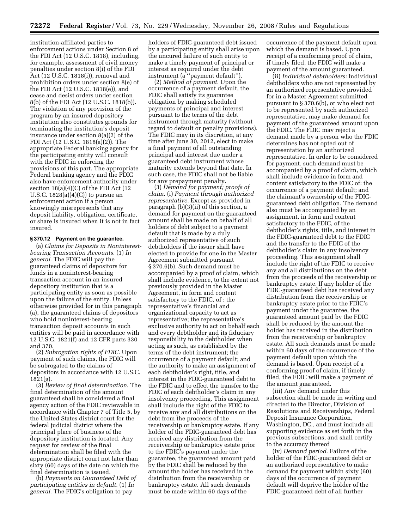institution-affiliated parties to enforcement actions under Section 8 of the FDI Act (12 U.S.C. 1818), including, for example, assessment of civil money penalties under section 8(i) of the FDI Act (12 U.S.C. 1818(i)), removal and prohibition orders under section 8(e) of the FDI Act (12 U.S.C. 1818(e)), and cease and desist orders under section 8(b) of the FDI Act (12 U.S.C. 1818(b)). The violation of any provision of the program by an insured depository institution also constitutes grounds for terminating the institution's deposit insurance under section 8(a)(2) of the FDI Act (12 U.S.C. 1818(a)(2)). The appropriate Federal banking agency for the participating entity will consult with the FDIC in enforcing the provisions of this part. The appropriate Federal banking agency and the FDIC also have enforcement authority under section  $18(a)(4)(C)$  of the FDI Act (12) U.S.C. 1828(a)(4)(C)) to pursue an enforcement action if a person knowingly misrepresents that any deposit liability, obligation, certificate, or share is insured when it is not in fact insured.

# **§ 370.12 Payment on the guarantee.**

(a) *Claims for Deposits in Noninterestbearing Transaction Accounts*. (1) *In general*. The FDIC will pay the guaranteed claims of depositors for funds in a noninterest-bearing transaction account in an insured depository institution that is a participating entity as soon as possible upon the failure of the entity. Unless otherwise provided for in this paragraph (a), the guaranteed claims of depositors who hold noninterest-bearing transaction deposit accounts in such entities will be paid in accordance with 12 U.S.C. 1821(f) and 12 CFR parts 330 and 370.

(2) *Subrogation rights of FDIC*. Upon payment of such claims, the FDIC will be subrogated to the claims of depositors in accordance with 12 U.S.C. 1821(g).

(3) *Review of final determination*. The final determination of the amount guaranteed shall be considered a final agency action of the FDIC reviewable in accordance with Chapter 7 of Title 5, by the United States district court for the federal judicial district where the principal place of business of the depository institution is located. Any request for review of the final determination shall be filed with the appropriate district court not later than sixty (60) days of the date on which the final determination is issued.

(b) *Payments on Guaranteed Debt of participating entities in default.* (1) *In general*. The FDIC's obligation to pay

holders of FDIC-guaranteed debt issued by a participating entity shall arise upon the uncured failure of such entity to make a timely payment of principal or interest as required under the debt instrument (a ''payment default'').

(2) *Method of payment.* Upon the occurrence of a payment default, the FDIC shall satisfy its guarantee obligation by making scheduled payments of principal and interest pursuant to the terms of the debt instrument through maturity (without regard to default or penalty provisions). The FDIC may in its discretion, at any time after June 30, 2012, elect to make a final payment of all outstanding principal and interest due under a guaranteed debt instrument whose maturity extends beyond that date. In such case, the FDIC shall not be liable for any prepayment penalty.

(3) *Demand for payment; proofs of claim*. (i) *Payment through authorized representative*. Except as provided in paragraph (b)(3)(ii) of this section, a demand for payment on the guaranteed amount shall be made on behalf of all holders of debt subject to a payment default that is made by a duly authorized representative of such debtholders if the issuer shall have elected to provide for one in the Master Agreement submitted pursuant § 370.6(b). Such demand must be accompanied by a proof of claim, which shall include evidence, to the extent not previously provided in the Master Agreement, in form and content satisfactory to the FDIC, of : the representative's financial and organizational capacity to act as representative; the representative's exclusive authority to act on behalf each and every debtholder and its fiduciary responsibility to the debtholder when acting as such, as established by the terms of the debt instrument; the occurrence of a payment default; and the authority to make an assignment of each debtholder's right, title, and interest in the FDIC-guaranteed debt to the FDIC and to effect the transfer to the FDIC of each debtholder's claim in any insolvency proceeding. This assignment shall include the right of the FDIC to receive any and all distributions on the debt from the proceeds of the receivership or bankruptcy estate. If any holder of the FDIC-guaranteed debt has received any distribution from the receivership or bankruptcy estate prior to the FDIC's payment under the guarantee, the guaranteed amount paid by the FDIC shall be reduced by the amount the holder has received in the distribution from the receivership or bankruptcy estate. All such demands must be made within 60 days of the

occurrence of the payment default upon which the demand is based. Upon receipt of a conforming proof of claim, if timely filed, the FDIC will make a payment of the amount guaranteed.

(ii) *Individual debtholders:* Individual debtholders who are not represented by an authorized representative provided for in a Master Agreement submitted pursuant to § 370.6(b), or who elect not to be represented by such authorized representative, may make demand for payment of the guaranteed amount upon the FDIC. The FDIC may reject a demand made by a person who the FDIC determines has not opted out of representation by an authorized representative. In order to be considered for payment, such demand must be accompanied by a proof of claim, which shall include evidence in form and content satisfactory to the FDIC of: the occurrence of a payment default; and the claimant's ownership of the FDICguaranteed debt obligation. The demand also must be accompanied by an assignment, in form and content satisfactory to the FDIC, of the debtholder's rights, title, and interest in the FDIC-guaranteed debt to the FDIC and the transfer to the FDIC of the debtholder's claim in any insolvency proceeding. This assignment shall include the right of the FDIC to receive any and all distributions on the debt from the proceeds of the receivership or bankruptcy estate. If any holder of the FDIC-guaranteed debt has received any distribution from the receivership or bankruptcy estate prior to the FDIC's payment under the guarantee, the guaranteed amount paid by the FDIC shall be reduced by the amount the holder has received in the distribution from the receivership or bankruptcy estate. All such demands must be made within 60 days of the occurrence of the payment default upon which the demand is based. Upon receipt of a conforming proof of claim, if timely filed, the FDIC will make a payment of the amount guaranteed.

(iii) Any demand under this subsection shall be made in writing and directed to the Director, Division of Resolutions and Receiverships, Federal Deposit Insurance Corporation, Washington, DC., and must include all supporting evidence as set forth in the previous subsections, and shall certify to the accuracy thereof

(iv) *Demand period*. Failure of the holder of the FDIC-guaranteed debt or an authorized representative to make demand for payment within sixty (60) days of the occurrence of payment default will deprive the holder of the FDIC-guaranteed debt of all further